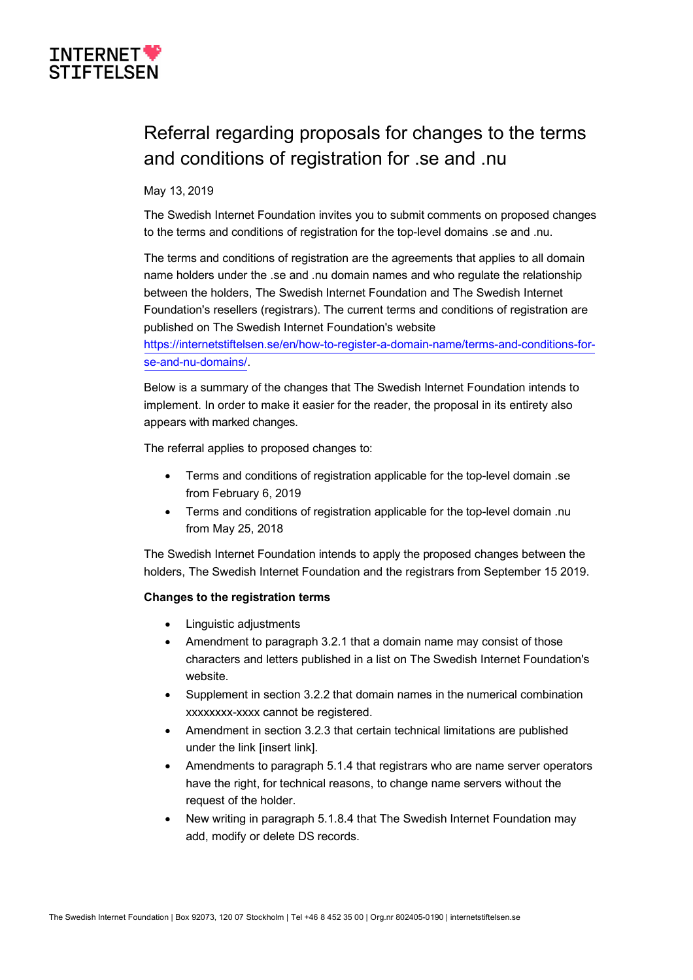## **INTERNET<sup>\*</sup> STTFTFI SFN**

# Referral regarding proposals for changes to the terms and conditions of registration for .se and .nu

May 13, 2019

The Swedish Internet Foundation invites you to submit comments on proposed changes to the terms and conditions of registration for the top-level domains .se and .nu.

The terms and conditions of registration are the agreements that applies to all domain name holders under the .se and .nu domain names and who regulate the relationship between the holders, The Swedish Internet Foundation and The Swedish Internet Foundation's resellers (registrars). The current terms and conditions of registration are published on The Swedish Internet Foundation's website

https://internetstiftelsen.se/en/how-to-register-a-domain-name/terms-and-conditions-forse-and-nu-domains/.

Below is a summary of the changes that The Swedish Internet Foundation intends to implement. In order to make it easier for the reader, the proposal in its entirety also appears with marked changes.

The referral applies to proposed changes to:

- Terms and conditions of registration applicable for the top-level domain .se from February 6, 2019
- Terms and conditions of registration applicable for the top-level domain .nu from May 25, 2018

The Swedish Internet Foundation intends to apply the proposed changes between the holders, The Swedish Internet Foundation and the registrars from September 15 2019.

## **Changes to the registration terms**

- Linguistic adjustments
- Amendment to paragraph 3.2.1 that a domain name may consist of those characters and letters published in a list on The Swedish Internet Foundation's website.
- Supplement in section 3.2.2 that domain names in the numerical combination xxxxxxxx-xxxx cannot be registered.
- Amendment in section 3.2.3 that certain technical limitations are published under the link [insert link].
- Amendments to paragraph 5.1.4 that registrars who are name server operators have the right, for technical reasons, to change name servers without the request of the holder.
- New writing in paragraph 5.1.8.4 that The Swedish Internet Foundation may add, modify or delete DS records.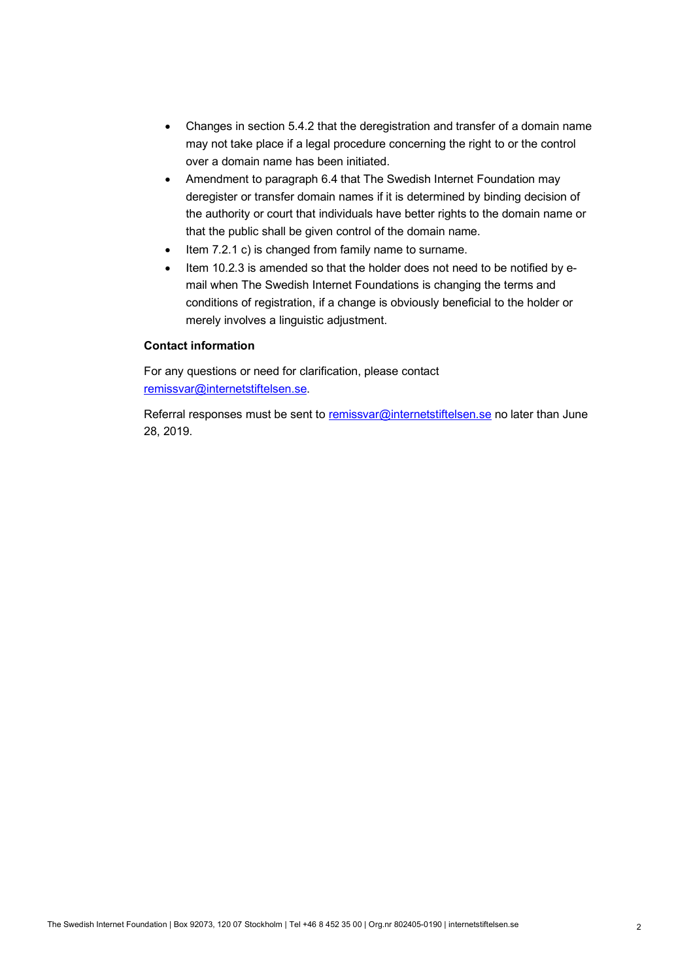- Changes in section 5.4.2 that the deregistration and transfer of a domain name may not take place if a legal procedure concerning the right to or the control over a domain name has been initiated.
- Amendment to paragraph 6.4 that The Swedish Internet Foundation may deregister or transfer domain names if it is determined by binding decision of the authority or court that individuals have better rights to the domain name or that the public shall be given control of the domain name.
- Item 7.2.1 c) is changed from family name to surname.
- Item 10.2.3 is amended so that the holder does not need to be notified by email when The Swedish Internet Foundations is changing the terms and conditions of registration, if a change is obviously beneficial to the holder or merely involves a linguistic adjustment.

## **Contact information**

For any questions or need for clarification, please contact remissvar@internetstiftelsen.se.

Referral responses must be sent to remissvar@internetstiftelsen.se no later than June 28, 2019.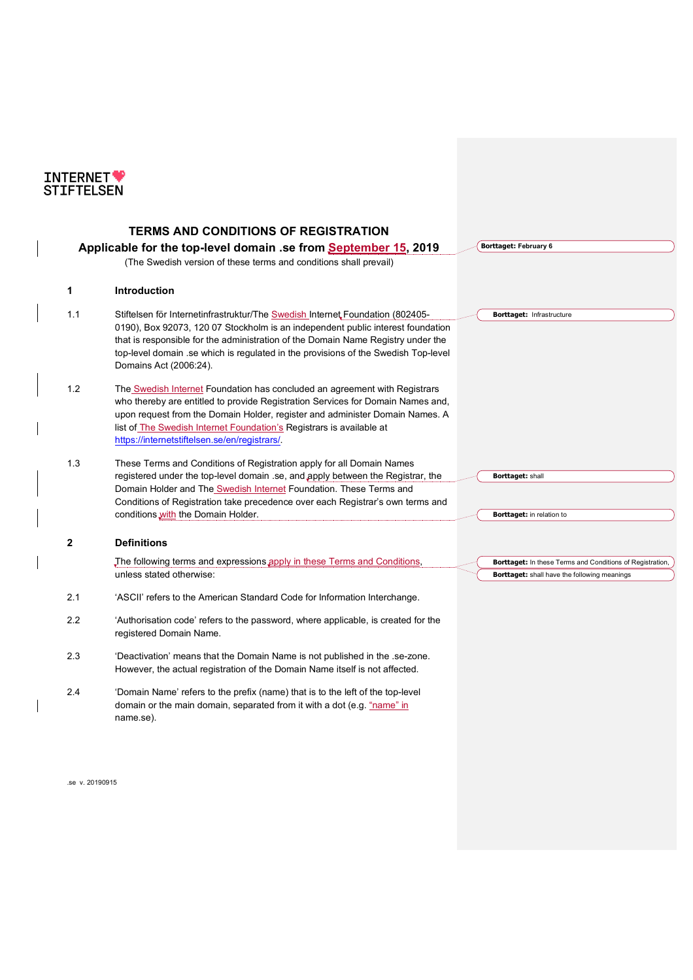

## **TERMS AND CONDITIONS OF REGISTRATION Applicable for the top-level domain .se from September 15, 2019** (The Swedish version of these terms and conditions shall prevail) **1 Introduction** 1.1 Stiftelsen för Internetinfrastruktur/The Swedish Internet Foundation (802405- 0190), Box 92073, 120 07 Stockholm is an independent public interest foundation that is responsible for the administration of the Domain Name Registry under the top-level domain .se which is regulated in the provisions of the Swedish Top-level Domains Act (2006:24). 1.2 The Swedish Internet Foundation has concluded an agreement with Registrars who thereby are entitled to provide Registration Services for Domain Names and, upon request from the Domain Holder, register and administer Domain Names. A list of The Swedish Internet Foundation's Registrars is available at https://internetstiftelsen.se/en/registrars/. 1.3 These Terms and Conditions of Registration apply for all Domain Names registered under the top-level domain .se, and apply between the Registrar, the Domain Holder and The Swedish Internet Foundation. These Terms and Conditions of Registration take precedence over each Registrar's own terms and conditions with the Domain Holder. **2 Definitions** The following terms and expressions apply in these Terms and Conditions unless stated otherwise: 2.1 'ASCII' refers to the American Standard Code for Information Interchange. 2.2 'Authorisation code' refers to the password, where applicable, is created for the registered Domain Name. 2.3 'Deactivation' means that the Domain Name is not published in the .se-zone. However, the actual registration of the Domain Name itself is not affected. 2.4 'Domain Name' refers to the prefix (name) that is to the left of the top-level domain or the main domain, separated from it with a dot (e.g. "name" in name.se). **Borttaget: February 6 Borttaget:** Infrastructure **Borttaget:** shall **Borttaget:** in relation to **Borttaget:** In these Terms and Conditions of Registration, **Borttaget:** shall have the following meanings

.se v. 20190915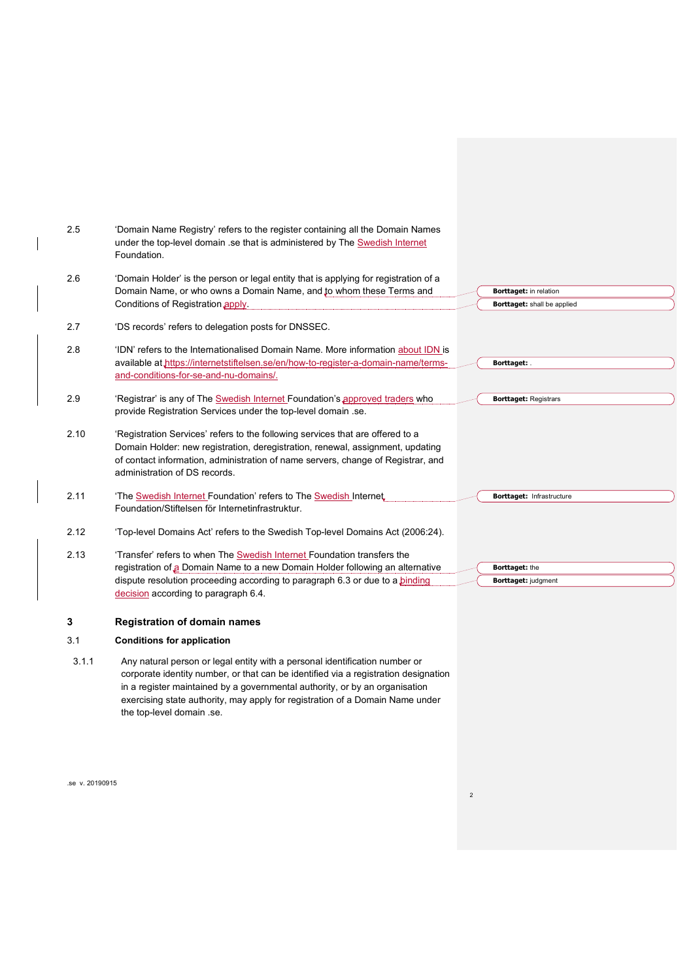| 2.5   | 'Domain Name Registry' refers to the register containing all the Domain Names                              |                                  |
|-------|------------------------------------------------------------------------------------------------------------|----------------------------------|
|       | under the top-level domain .se that is administered by The Swedish Internet                                |                                  |
|       | Foundation.                                                                                                |                                  |
| 2.6   | 'Domain Holder' is the person or legal entity that is applying for registration of a                       |                                  |
|       | Domain Name, or who owns a Domain Name, and to whom these Terms and                                        | Borttaget: in relation           |
|       | Conditions of Registration apply.                                                                          | Borttaget: shall be applied      |
| 2.7   | 'DS records' refers to delegation posts for DNSSEC.                                                        |                                  |
| 2.8   | 'IDN' refers to the Internationalised Domain Name. More information about IDN is                           |                                  |
|       | available at https://internetstiftelsen.se/en/how-to-register-a-domain-name/terms-                         | <b>Borttaget:</b>                |
|       | and-conditions-for-se-and-nu-domains/.                                                                     |                                  |
| 2.9   | 'Registrar' is any of The Swedish Internet Foundation's approved traders who                               | <b>Borttaget: Registrars</b>     |
|       | provide Registration Services under the top-level domain .se.                                              |                                  |
| 2.10  | 'Registration Services' refers to the following services that are offered to a                             |                                  |
|       | Domain Holder: new registration, deregistration, renewal, assignment, updating                             |                                  |
|       | of contact information, administration of name servers, change of Registrar, and                           |                                  |
|       | administration of DS records.                                                                              |                                  |
| 2.11  | 'The Swedish Internet Foundation' refers to The Swedish Internet                                           | <b>Borttaget: Infrastructure</b> |
|       | Foundation/Stiftelsen för Internetinfrastruktur.                                                           |                                  |
| 2.12  | 'Top-level Domains Act' refers to the Swedish Top-level Domains Act (2006:24).                             |                                  |
| 2.13  | 'Transfer' refers to when The Swedish Internet Foundation transfers the                                    |                                  |
|       | registration of a Domain Name to a new Domain Holder following an alternative                              | <b>Borttaget:</b> the            |
|       | dispute resolution proceeding according to paragraph 6.3 or due to a <b>binding</b>                        | Borttaget: judgment              |
|       | decision according to paragraph 6.4.                                                                       |                                  |
| 3     | <b>Registration of domain names</b>                                                                        |                                  |
| 3.1   | <b>Conditions for application</b>                                                                          |                                  |
| 3.1.1 | Any natural person or legal entity with a personal identification number or                                |                                  |
|       | corporate identity number, or that can be identified via a registration designation                        |                                  |
|       | in a register maintained by a governmental authority, or by an organisation                                |                                  |
|       | exercising state authority, may apply for registration of a Domain Name under<br>the top-level domain .se. |                                  |
|       |                                                                                                            |                                  |
|       |                                                                                                            |                                  |
|       |                                                                                                            |                                  |
|       |                                                                                                            |                                  |

2

 $\overline{\phantom{a}}$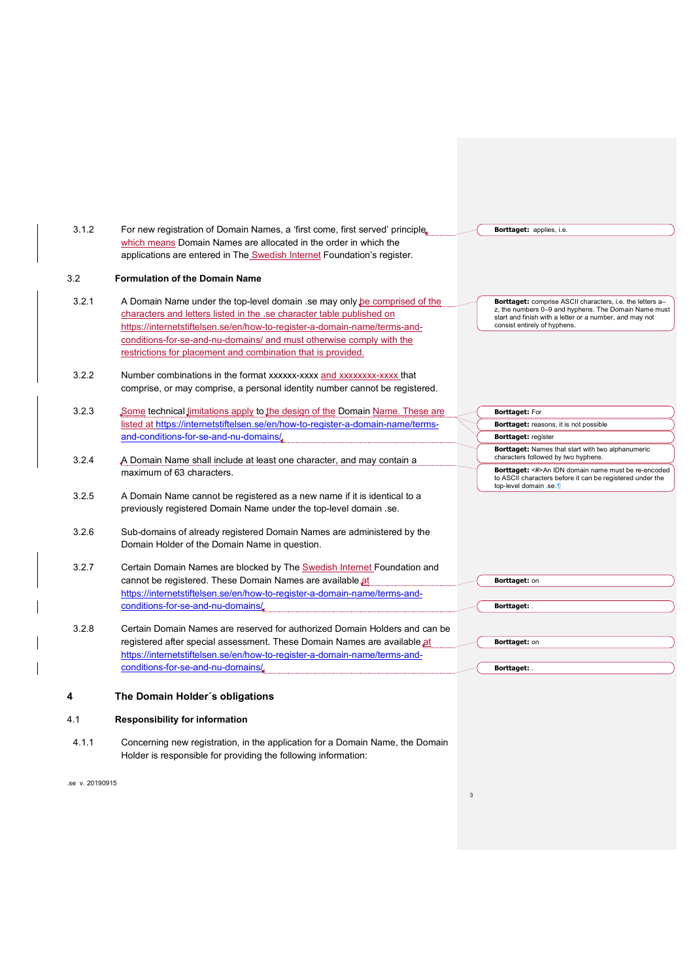| 3.1.2           | For new registration of Domain Names, a 'first come, first served' principle<br>which means Domain Names are allocated in the order in which the<br>applications are entered in The Swedish Internet Foundation's register.                                                                                                                                            |   | Borttaget: applies, i.e.                                                                                                                                                                                     |
|-----------------|------------------------------------------------------------------------------------------------------------------------------------------------------------------------------------------------------------------------------------------------------------------------------------------------------------------------------------------------------------------------|---|--------------------------------------------------------------------------------------------------------------------------------------------------------------------------------------------------------------|
| 3.2             | <b>Formulation of the Domain Name</b>                                                                                                                                                                                                                                                                                                                                  |   |                                                                                                                                                                                                              |
| 3.2.1           | A Domain Name under the top-level domain se may only be comprised of the<br>characters and letters listed in the .se character table published on<br>https://internetstiftelsen.se/en/how-to-register-a-domain-name/terms-and-<br>conditions-for-se-and-nu-domains/ and must otherwise comply with the<br>restrictions for placement and combination that is provided. |   | Borttaget: comprise ASCII characters, i.e. the letters a-<br>z, the numbers 0-9 and hyphens. The Domain Name must<br>start and finish with a letter or a number, and may not<br>consist entirely of hyphens. |
| 3.2.2           | Number combinations in the format xxxxxx-xxxx and xxxxxxxx-xxxx that<br>comprise, or may comprise, a personal identity number cannot be registered.                                                                                                                                                                                                                    |   |                                                                                                                                                                                                              |
| 3.2.3           | Some technical limitations apply to the design of the Domain Name. These are                                                                                                                                                                                                                                                                                           |   | <b>Borttaget: For</b>                                                                                                                                                                                        |
|                 | listed at https://internetstiftelsen.se/en/how-to-register-a-domain-name/terms-                                                                                                                                                                                                                                                                                        |   | Borttaget: reasons, it is not possible                                                                                                                                                                       |
|                 | and-conditions-for-se-and-nu-domains/                                                                                                                                                                                                                                                                                                                                  |   | <b>Borttaget: register</b>                                                                                                                                                                                   |
| 3.2.4           | A Domain Name shall include at least one character, and may contain a                                                                                                                                                                                                                                                                                                  |   | Borttaget: Names that start with two alphanumeric<br>characters followed by two hyphens.                                                                                                                     |
|                 | maximum of 63 characters.                                                                                                                                                                                                                                                                                                                                              |   | Borttaget: <#>An IDN domain name must be re-encoded<br>to ASCII characters before it can be registered under the<br>top-level domain .se.                                                                    |
| 3.2.5           | A Domain Name cannot be registered as a new name if it is identical to a<br>previously registered Domain Name under the top-level domain .se.                                                                                                                                                                                                                          |   |                                                                                                                                                                                                              |
| 3.2.6           | Sub-domains of already registered Domain Names are administered by the<br>Domain Holder of the Domain Name in question.                                                                                                                                                                                                                                                |   |                                                                                                                                                                                                              |
| 3.2.7           | Certain Domain Names are blocked by The <b>Swedish Internet Foundation and</b>                                                                                                                                                                                                                                                                                         |   |                                                                                                                                                                                                              |
|                 | cannot be registered. These Domain Names are available at                                                                                                                                                                                                                                                                                                              |   | Borttaget: on                                                                                                                                                                                                |
|                 | https://internetstiftelsen.se/en/how-to-register-a-domain-name/terms-and-                                                                                                                                                                                                                                                                                              |   |                                                                                                                                                                                                              |
|                 | conditions-for-se-and-nu-domains/                                                                                                                                                                                                                                                                                                                                      |   | <b>Borttaget:</b>                                                                                                                                                                                            |
| 3.2.8           | Certain Domain Names are reserved for authorized Domain Holders and can be                                                                                                                                                                                                                                                                                             |   |                                                                                                                                                                                                              |
|                 | registered after special assessment. These Domain Names are available at                                                                                                                                                                                                                                                                                               |   | <b>Borttaget: on</b>                                                                                                                                                                                         |
|                 | https://internetstiftelsen.se/en/how-to-register-a-domain-name/terms-and-                                                                                                                                                                                                                                                                                              |   |                                                                                                                                                                                                              |
|                 | conditions-for-se-and-nu-domains/                                                                                                                                                                                                                                                                                                                                      |   | <b>Borttaget:</b>                                                                                                                                                                                            |
|                 | The Domain Holder's obligations                                                                                                                                                                                                                                                                                                                                        |   |                                                                                                                                                                                                              |
| 4.1             | <b>Responsibility for information</b>                                                                                                                                                                                                                                                                                                                                  |   |                                                                                                                                                                                                              |
| 4.1.1           | Concerning new registration, in the application for a Domain Name, the Domain<br>Holder is responsible for providing the following information:                                                                                                                                                                                                                        |   |                                                                                                                                                                                                              |
| .se v. 20190915 |                                                                                                                                                                                                                                                                                                                                                                        |   |                                                                                                                                                                                                              |
|                 |                                                                                                                                                                                                                                                                                                                                                                        | 3 |                                                                                                                                                                                                              |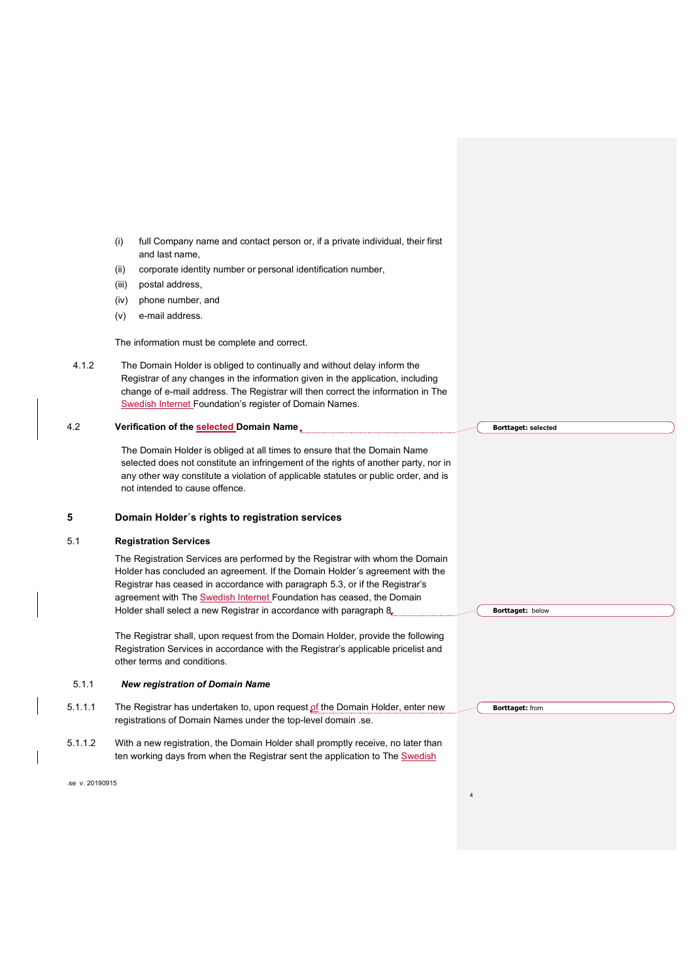|                 | (i)<br>full Company name and contact person or, if a private individual, their first<br>and last name,                                                                     |                            |
|-----------------|----------------------------------------------------------------------------------------------------------------------------------------------------------------------------|----------------------------|
|                 | corporate identity number or personal identification number,<br>(ii)                                                                                                       |                            |
|                 | postal address,<br>(iii)                                                                                                                                                   |                            |
|                 | phone number, and<br>(iv)                                                                                                                                                  |                            |
|                 | e-mail address.<br>(v)                                                                                                                                                     |                            |
|                 | The information must be complete and correct.                                                                                                                              |                            |
| 4.1.2           | The Domain Holder is obliged to continually and without delay inform the                                                                                                   |                            |
|                 | Registrar of any changes in the information given in the application, including<br>change of e-mail address. The Registrar will then correct the information in The        |                            |
|                 | Swedish Internet Foundation's register of Domain Names.                                                                                                                    |                            |
| 4.2             | Verification of the selected Domain Name,                                                                                                                                  | <b>Borttaget: selected</b> |
|                 |                                                                                                                                                                            |                            |
|                 | The Domain Holder is obliged at all times to ensure that the Domain Name                                                                                                   |                            |
|                 | selected does not constitute an infringement of the rights of another party, nor in<br>any other way constitute a violation of applicable statutes or public order, and is |                            |
|                 | not intended to cause offence.                                                                                                                                             |                            |
| 5               | Domain Holder's rights to registration services                                                                                                                            |                            |
| 5.1             | <b>Registration Services</b>                                                                                                                                               |                            |
|                 | The Registration Services are performed by the Registrar with whom the Domain                                                                                              |                            |
|                 | Holder has concluded an agreement. If the Domain Holder's agreement with the                                                                                               |                            |
|                 | Registrar has ceased in accordance with paragraph 5.3, or if the Registrar's<br>agreement with The Swedish Internet Foundation has ceased, the Domain                      |                            |
|                 | Holder shall select a new Registrar in accordance with paragraph 8.                                                                                                        | <b>Borttaget: below</b>    |
|                 | The Registrar shall, upon request from the Domain Holder, provide the following                                                                                            |                            |
|                 | Registration Services in accordance with the Registrar's applicable pricelist and                                                                                          |                            |
|                 | other terms and conditions.                                                                                                                                                |                            |
| 5.1.1           | <b>New registration of Domain Name</b>                                                                                                                                     |                            |
| 5.1.1.1         | The Registrar has undertaken to, upon request of the Domain Holder, enter new<br>registrations of Domain Names under the top-level domain .se.                             | <b>Borttaget:</b> from     |
|                 |                                                                                                                                                                            |                            |
| 5.1.1.2         | With a new registration, the Domain Holder shall promptly receive, no later than<br>ten working days from when the Registrar sent the application to The Swedish           |                            |
|                 |                                                                                                                                                                            |                            |
| .se v. 20190915 |                                                                                                                                                                            |                            |
|                 |                                                                                                                                                                            | $\overline{4}$             |

 $\overline{\phantom{a}}$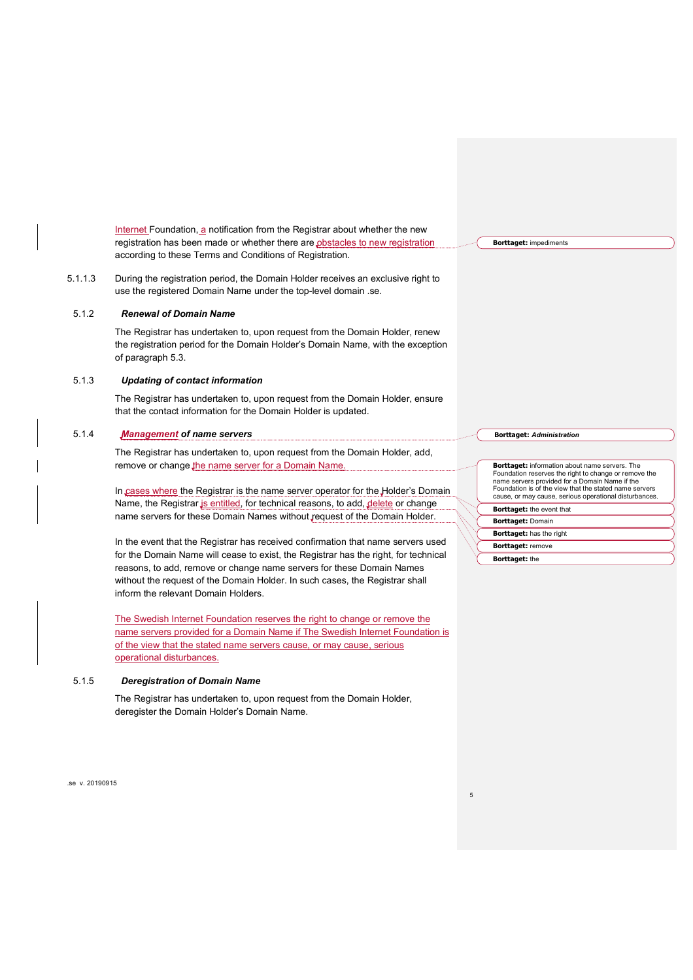Internet Foundation, a notification from the Registrar about whether the new registration has been made or whether there are obstacles to new registration according to these Terms and Conditions of Registration.

5.1.1.3 During the registration period, the Domain Holder receives an exclusive right to use the registered Domain Name under the top-level domain .se.

## 5.1.2 *Renewal of Domain Name*

The Registrar has undertaken to, upon request from the Domain Holder, renew the registration period for the Domain Holder's Domain Name, with the exception of paragraph 5.3.

### 5.1.3 *Updating of contact information*

The Registrar has undertaken to, upon request from the Domain Holder, ensure that the contact information for the Domain Holder is updated.

#### 5.1.4 *Management of name servers*

The Registrar has undertaken to, upon request from the Domain Holder, add, remove or change the name server for a Domain Name.

In cases where the Registrar is the name server operator for the Holder's Domain Name, the Registrar is entitled, for technical reasons, to add, delete or change name servers for these Domain Names without request of the Domain Holder.

In the event that the Registrar has received confirmation that name servers used for the Domain Name will cease to exist, the Registrar has the right, for technical reasons, to add, remove or change name servers for these Domain Names without the request of the Domain Holder. In such cases, the Registrar shall inform the relevant Domain Holders.

The Swedish Internet Foundation reserves the right to change or remove the name servers provided for a Domain Name if The Swedish Internet Foundation is of the view that the stated name servers cause, or may cause, serious operational disturbances.

## 5.1.5 *Deregistration of Domain Name*

The Registrar has undertaken to, upon request from the Domain Holder, deregister the Domain Holder's Domain Name.

**Borttaget:** *Administration*

**Borttaget:** impediments

5

**Borttaget:** information about name servers. The Foundation reserves the right to change or remove the name servers provided for a Domain Name if the Foundation is of the view that the stated name servers cause, or may cause, serious operational disturbance **Borttaget:** the event that **Borttaget:** Domain **Borttaget:** has the right **Borttaget:** remove **Borttaget:** the

.se v. 20190915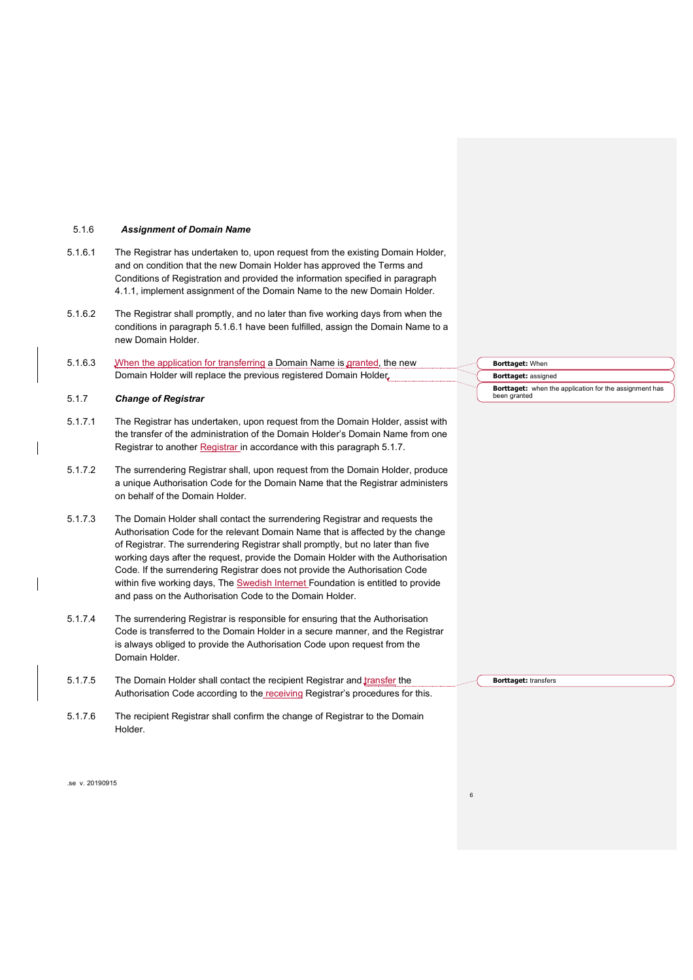#### 5.1.6 *Assignment of Domain Name*

- 5.1.6.1 The Registrar has undertaken to, upon request from the existing Domain Holder, and on condition that the new Domain Holder has approved the Terms and Conditions of Registration and provided the information specified in paragraph 4.1.1, implement assignment of the Domain Name to the new Domain Holder.
- 5.1.6.2 The Registrar shall promptly, and no later than five working days from when the conditions in paragraph 5.1.6.1 have been fulfilled, assign the Domain Name to a new Domain Holder.
- 5.1.6.3 When the application for transferring a Domain Name is granted, the new Domain Holder will replace the previous registered Domain Holder.

#### 5.1.7 *Change of Registrar*

- 5.1.7.1 The Registrar has undertaken, upon request from the Domain Holder, assist with the transfer of the administration of the Domain Holder's Domain Name from one Registrar to another Registrar in accordance with this paragraph 5.1.7.
- 5.1.7.2 The surrendering Registrar shall, upon request from the Domain Holder, produce a unique Authorisation Code for the Domain Name that the Registrar administers on behalf of the Domain Holder.
- 5.1.7.3 The Domain Holder shall contact the surrendering Registrar and requests the Authorisation Code for the relevant Domain Name that is affected by the change of Registrar. The surrendering Registrar shall promptly, but no later than five working days after the request, provide the Domain Holder with the Authorisation Code. If the surrendering Registrar does not provide the Authorisation Code within five working days, The Swedish Internet Foundation is entitled to provide and pass on the Authorisation Code to the Domain Holder.
- 5.1.7.4 The surrendering Registrar is responsible for ensuring that the Authorisation Code is transferred to the Domain Holder in a secure manner, and the Registrar is always obliged to provide the Authorisation Code upon request from the Domain Holder.
- 5.1.7.5 The Domain Holder shall contact the recipient Registrar and transfer the Authorisation Code according to the receiving Registrar's procedures for this.
- 5.1.7.6 The recipient Registrar shall confirm the change of Registrar to the Domain Holder.

**Borttaget:** When **Borttaget:** assigned

6

**Borttaget:** transfers

**Borttaget:** when the application for the assignment has been granted

.se v. 20190915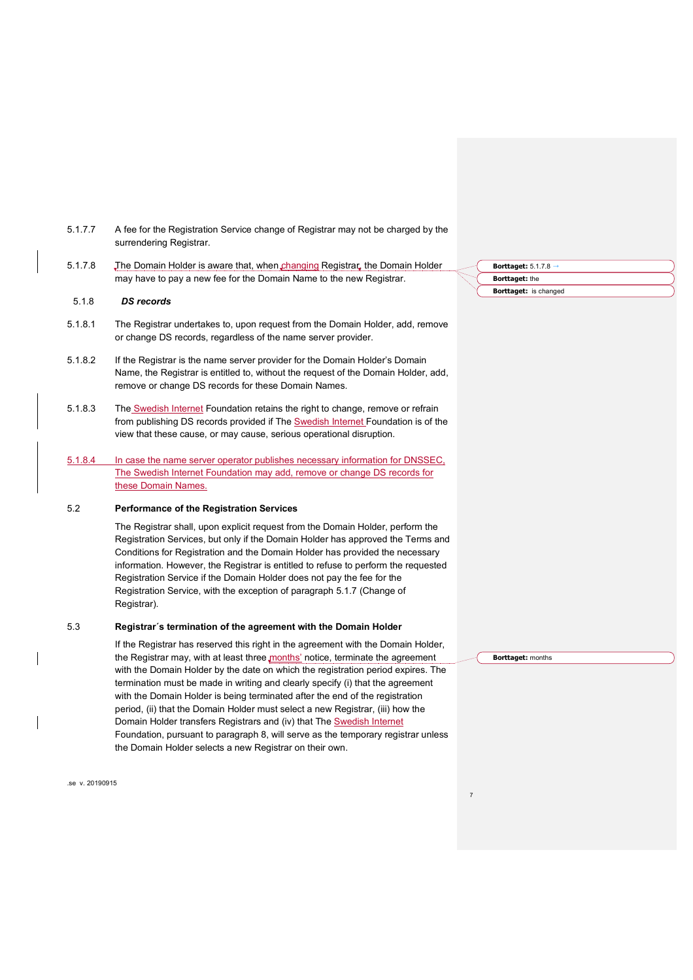| 5.1.7.7 | A fee for the Registration Service change of Registrar may not be charged by the |
|---------|----------------------------------------------------------------------------------|
|         | surrendering Registrar.                                                          |

5.1.7.8 The Domain Holder is aware that, when changing Registrar, the Domain Holder may have to pay a new fee for the Domain Name to the new Registrar.

## 5.1.8 *DS records*

- 5.1.8.1 The Registrar undertakes to, upon request from the Domain Holder, add, remove or change DS records, regardless of the name server provider.
- 5.1.8.2 If the Registrar is the name server provider for the Domain Holder's Domain Name, the Registrar is entitled to, without the request of the Domain Holder, add, remove or change DS records for these Domain Names.
- 5.1.8.3 The Swedish Internet Foundation retains the right to change, remove or refrain from publishing DS records provided if The Swedish Internet Foundation is of the view that these cause, or may cause, serious operational disruption.
- 5.1.8.4 In case the name server operator publishes necessary information for DNSSEC, The Swedish Internet Foundation may add, remove or change DS records for these Domain Names.

### 5.2 **Performance of the Registration Services**

The Registrar shall, upon explicit request from the Domain Holder, perform the Registration Services, but only if the Domain Holder has approved the Terms and Conditions for Registration and the Domain Holder has provided the necessary information. However, the Registrar is entitled to refuse to perform the requested Registration Service if the Domain Holder does not pay the fee for the Registration Service, with the exception of paragraph 5.1.7 (Change of Registrar).

#### 5.3 **Registrar´s termination of the agreement with the Domain Holder**

If the Registrar has reserved this right in the agreement with the Domain Holder, the Registrar may, with at least three months' notice, terminate the agreement with the Domain Holder by the date on which the registration period expires. The termination must be made in writing and clearly specify (i) that the agreement with the Domain Holder is being terminated after the end of the registration period, (ii) that the Domain Holder must select a new Registrar, (iii) how the Domain Holder transfers Registrars and (iv) that The Swedish Internet Foundation, pursuant to paragraph 8, will serve as the temporary registrar unless the Domain Holder selects a new Registrar on their own.

.se v. 20190915

| <b>Borttaget:</b> 5.1.7.8 $\rightarrow$ |
|-----------------------------------------|
| <b>Borttaget:</b> the                   |
| <b>Borttaget:</b> is changed            |

**Borttaget:** months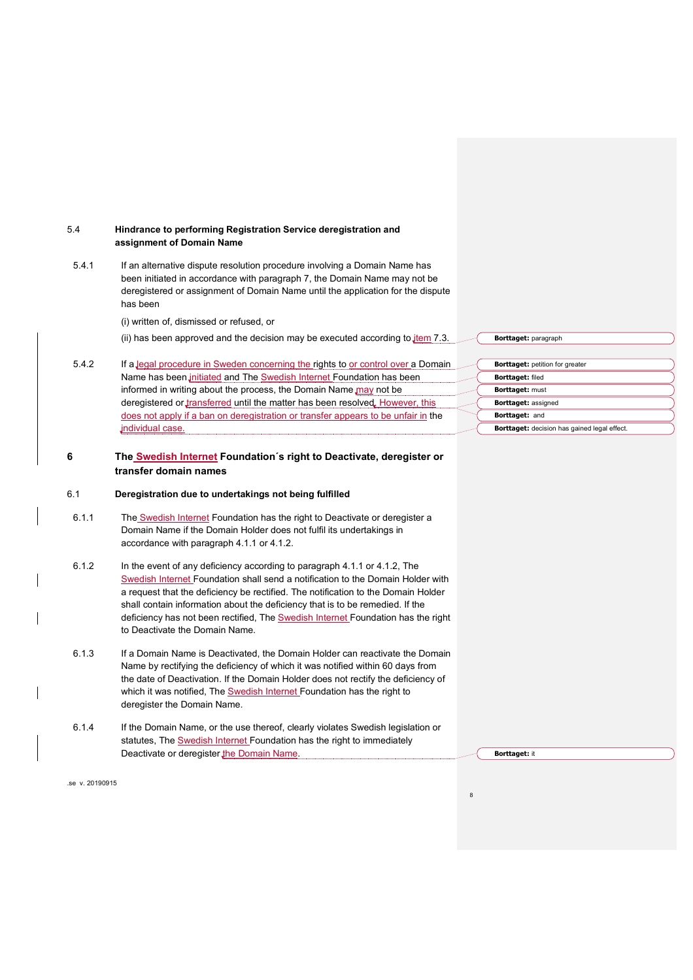| 5.4             | Hindrance to performing Registration Service deregistration and<br>assignment of Domain Name                                                                                                                                                                                                                                                                                                                                                                    |                                                                                                                                                                 |
|-----------------|-----------------------------------------------------------------------------------------------------------------------------------------------------------------------------------------------------------------------------------------------------------------------------------------------------------------------------------------------------------------------------------------------------------------------------------------------------------------|-----------------------------------------------------------------------------------------------------------------------------------------------------------------|
| 5.4.1           | If an alternative dispute resolution procedure involving a Domain Name has<br>been initiated in accordance with paragraph 7, the Domain Name may not be<br>deregistered or assignment of Domain Name until the application for the dispute<br>has been                                                                                                                                                                                                          |                                                                                                                                                                 |
|                 | (i) written of, dismissed or refused, or                                                                                                                                                                                                                                                                                                                                                                                                                        |                                                                                                                                                                 |
|                 | (ii) has been approved and the decision may be executed according to <i>jtem</i> 7.3.                                                                                                                                                                                                                                                                                                                                                                           | Borttaget: paragraph                                                                                                                                            |
| 5.4.2           | If a legal procedure in Sweden concerning the rights to or control over a Domain<br>Name has been initiated and The Swedish Internet Foundation has been<br>informed in writing about the process, the Domain Name may not be<br>deregistered or transferred until the matter has been resolved. However, this<br>does not apply if a ban on deregistration or transfer appears to be unfair in the<br>individual case.                                         | Borttaget: petition for greater<br>Borttaget: filed<br>Borttaget: must<br>Borttaget: assigned<br>Borttaget: and<br>Borttaget: decision has gained legal effect. |
| 6               | The Swedish Internet Foundation's right to Deactivate, deregister or<br>transfer domain names                                                                                                                                                                                                                                                                                                                                                                   |                                                                                                                                                                 |
| 6.1             | Deregistration due to undertakings not being fulfilled                                                                                                                                                                                                                                                                                                                                                                                                          |                                                                                                                                                                 |
| 6.1.1           | The Swedish Internet Foundation has the right to Deactivate or deregister a<br>Domain Name if the Domain Holder does not fulfil its undertakings in<br>accordance with paragraph 4.1.1 or 4.1.2.                                                                                                                                                                                                                                                                |                                                                                                                                                                 |
| 6.1.2           | In the event of any deficiency according to paragraph 4.1.1 or 4.1.2, The<br>Swedish Internet Foundation shall send a notification to the Domain Holder with<br>a request that the deficiency be rectified. The notification to the Domain Holder<br>shall contain information about the deficiency that is to be remedied. If the<br>deficiency has not been rectified, The <b>Swedish Internet Foundation has the right</b><br>to Deactivate the Domain Name. |                                                                                                                                                                 |
| 6.1.3           | If a Domain Name is Deactivated, the Domain Holder can reactivate the Domain<br>Name by rectifying the deficiency of which it was notified within 60 days from<br>the date of Deactivation. If the Domain Holder does not rectify the deficiency of<br>which it was notified, The Swedish Internet Foundation has the right to<br>deregister the Domain Name.                                                                                                   |                                                                                                                                                                 |
| 6.1.4           | If the Domain Name, or the use thereof, clearly violates Swedish legislation or<br>statutes, The Swedish Internet Foundation has the right to immediately<br>Deactivate or deregister the Domain Name.                                                                                                                                                                                                                                                          | <b>Borttaget: it</b>                                                                                                                                            |
| .se v. 20190915 |                                                                                                                                                                                                                                                                                                                                                                                                                                                                 |                                                                                                                                                                 |

 $\overline{\phantom{a}}$ 

 $\overline{\phantom{a}}$ 

 $\overline{\phantom{a}}$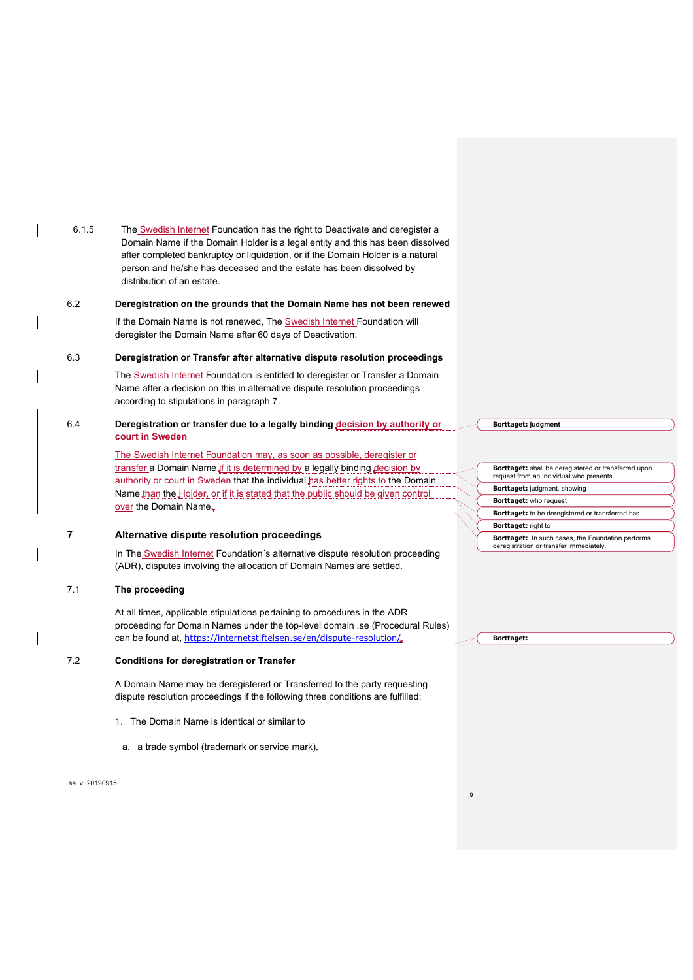| 6.1.5 | The Swedish Internet Foundation has the right to Deactivate and deregister a    |
|-------|---------------------------------------------------------------------------------|
|       | Domain Name if the Domain Holder is a legal entity and this has been dissolved  |
|       | after completed bankruptcy or liquidation, or if the Domain Holder is a natural |
|       | person and he/she has deceased and the estate has been dissolved by             |
|       | distribution of an estate.                                                      |

## 6.2 **Deregistration on the grounds that the Domain Name has not been renewed**

If the Domain Name is not renewed, The **Swedish Internet Foundation will** deregister the Domain Name after 60 days of Deactivation.

### 6.3 **Deregistration or Transfer after alternative dispute resolution proceedings**

The Swedish Internet Foundation is entitled to deregister or Transfer a Domain Name after a decision on this in alternative dispute resolution proceedings according to stipulations in paragraph 7.

## 6.4 **Deregistration or transfer due to a legally binding decision by authority or court in Sweden**

The Swedish Internet Foundation may, as soon as possible, deregister or transfer a Domain Name if it is determined by a legally binding decision by authority or court in Sweden that the individual has better rights to the Domain Name than the Holder, or if it is stated that the public should be given control over the Domain Name.

## **7 Alternative dispute resolution proceedings**

In The Swedish Internet Foundation's alternative dispute resolution proceeding (ADR), disputes involving the allocation of Domain Names are settled.

## 7.1 **The proceeding**

At all times, applicable stipulations pertaining to procedures in the ADR proceeding for Domain Names under the top-level domain .se (Procedural Rules) can be found at, https://internetstiftelsen.se/en/dispute-resolution/

## 7.2 **Conditions for deregistration or Transfer**

A Domain Name may be deregistered or Transferred to the party requesting dispute resolution proceedings if the following three conditions are fulfilled:

- 1. The Domain Name is identical or similar to
- a. a trade symbol (trademark or service mark),

.se v. 20190915

**Borttaget: judgment**

**Borttaget:** In such cases, the Foundation performs deregistration or transfer immediately.

**Borttaget:** .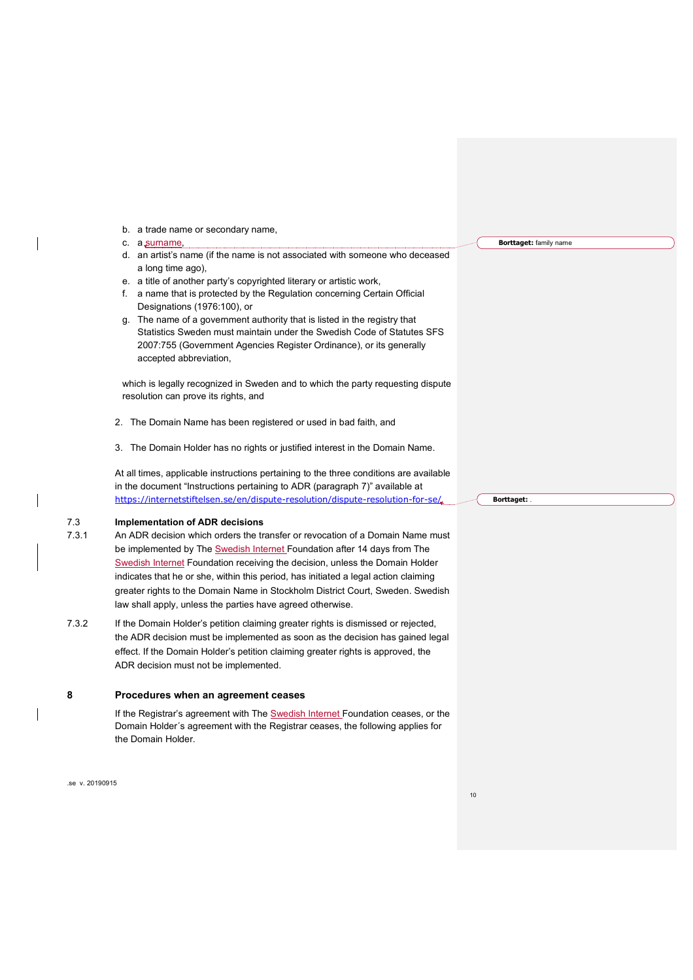- b. a trade name or secondary name,
- c. a surname,
- d. an artist's name (if the name is not associated with someone who deceased a long time ago),
- e. a title of another party's copyrighted literary or artistic work,
- f. a name that is protected by the Regulation concerning Certain Official Designations (1976:100), or
- g. The name of a government authority that is listed in the registry that Statistics Sweden must maintain under the Swedish Code of Statutes SFS 2007:755 (Government Agencies Register Ordinance), or its generally accepted abbreviation,

which is legally recognized in Sweden and to which the party requesting dispute resolution can prove its rights, and

- 2. The Domain Name has been registered or used in bad faith, and
- 3. The Domain Holder has no rights or justified interest in the Domain Name.

At all times, applicable instructions pertaining to the three conditions are available in the document "Instructions pertaining to ADR (paragraph 7)" available at https://internetstiftelsen.se/en/dispute-resolution/dispute-resolution-for-se/.

#### 7.3 **Implementation of ADR decisions**

- 7.3.1 An ADR decision which orders the transfer or revocation of a Domain Name must be implemented by The Swedish Internet Foundation after 14 days from The Swedish Internet Foundation receiving the decision, unless the Domain Holder indicates that he or she, within this period, has initiated a legal action claiming greater rights to the Domain Name in Stockholm District Court, Sweden. Swedish law shall apply, unless the parties have agreed otherwise.
- 7.3.2 If the Domain Holder's petition claiming greater rights is dismissed or rejected, the ADR decision must be implemented as soon as the decision has gained legal effect. If the Domain Holder's petition claiming greater rights is approved, the ADR decision must not be implemented.

#### **8 Procedures when an agreement ceases**

If the Registrar's agreement with The Swedish Internet Foundation ceases, or the Domain Holder´s agreement with the Registrar ceases, the following applies for the Domain Holder.

.se v. 20190915

**Borttaget:** family name

**Borttaget:** .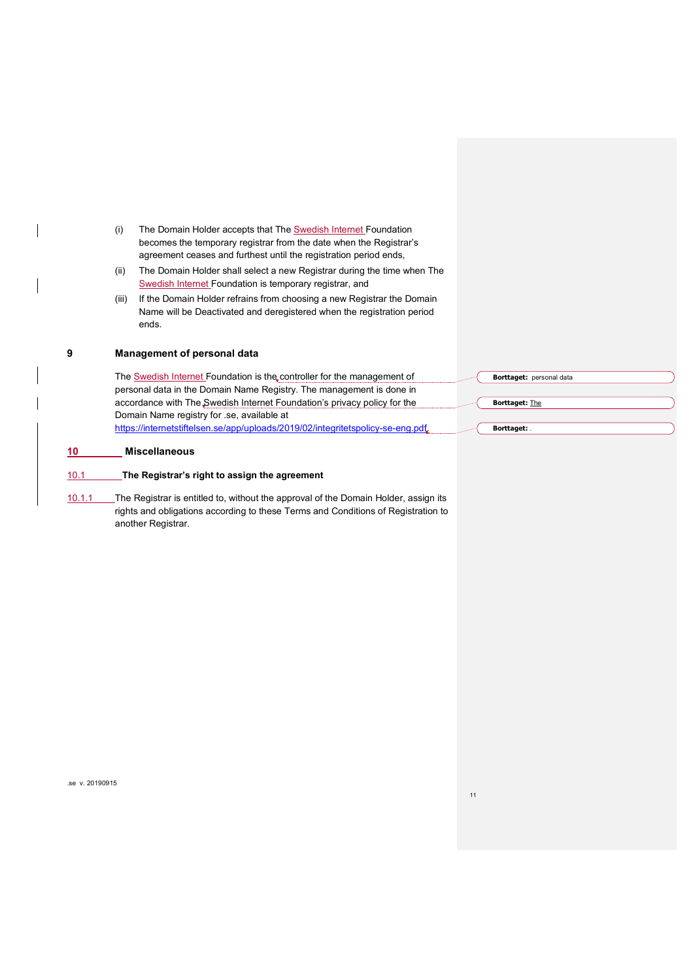|        | The Domain Holder accepts that The Swedish Internet Foundation<br>(i)<br>becomes the temporary registrar from the date when the Registrar's<br>agreement ceases and furthest until the registration period ends, |                          |
|--------|------------------------------------------------------------------------------------------------------------------------------------------------------------------------------------------------------------------|--------------------------|
|        | The Domain Holder shall select a new Registrar during the time when The<br>(ii)                                                                                                                                  |                          |
|        | Swedish Internet Foundation is temporary registrar, and                                                                                                                                                          |                          |
|        | If the Domain Holder refrains from choosing a new Registrar the Domain<br>(iii)<br>Name will be Deactivated and deregistered when the registration period<br>ends.                                               |                          |
| 9      | <b>Management of personal data</b>                                                                                                                                                                               |                          |
|        | The Swedish Internet Foundation is the controller for the management of                                                                                                                                          | Borttaget: personal data |
|        | personal data in the Domain Name Registry. The management is done in                                                                                                                                             |                          |
|        | accordance with The Swedish Internet Foundation's privacy policy for the                                                                                                                                         | <b>Borttaget: The</b>    |
|        | Domain Name registry for se, available at                                                                                                                                                                        |                          |
|        | https://internetstiftelsen.se/app/uploads/2019/02/integritetspolicy-se-eng.pdf                                                                                                                                   | Borttaget:               |
| 10     | <b>Miscellaneous</b>                                                                                                                                                                                             |                          |
| 10.1   | The Registrar's right to assign the agreement                                                                                                                                                                    |                          |
| 10.1.1 | The Registrar is entitled to, without the approval of the Domain Holder, assign its                                                                                                                              |                          |

10.1.1 The Registrar is entitled to, without the approval of the Domain Holder, assign its rights and obligations according to these Terms and Conditions of Registration to another Registrar.

 $\overline{\phantom{a}}$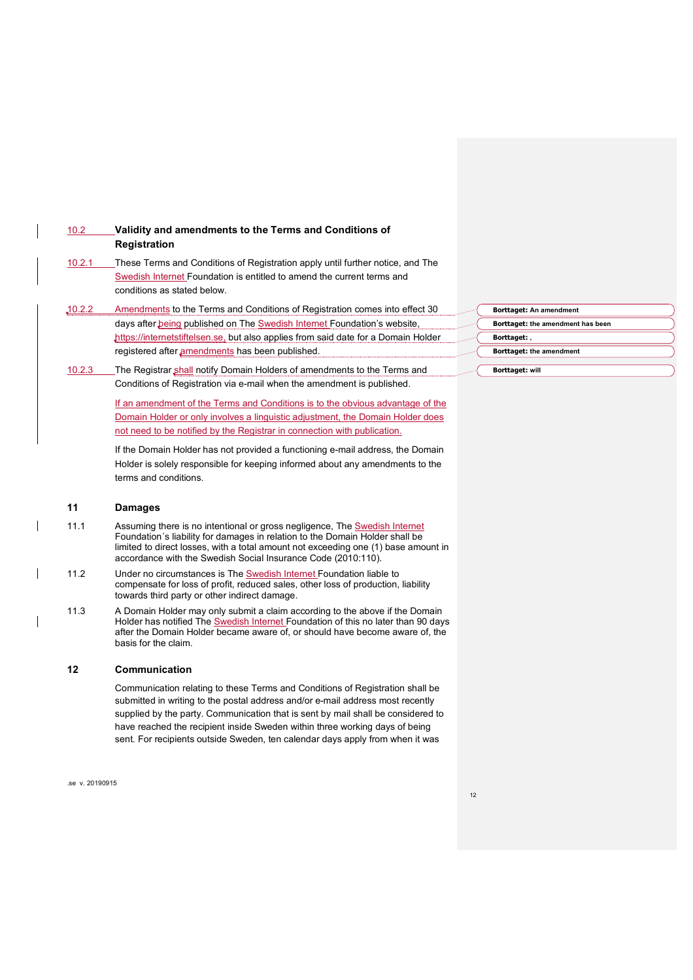| 10.2   | Validity and amendments to the Terms and Conditions of<br><b>Registration</b>                                                                                                                                                                                                                                                                                                                                                                                                                                      |                                   |
|--------|--------------------------------------------------------------------------------------------------------------------------------------------------------------------------------------------------------------------------------------------------------------------------------------------------------------------------------------------------------------------------------------------------------------------------------------------------------------------------------------------------------------------|-----------------------------------|
| 10.2.1 | These Terms and Conditions of Registration apply until further notice, and The<br>Swedish Internet Foundation is entitled to amend the current terms and<br>conditions as stated below.                                                                                                                                                                                                                                                                                                                            |                                   |
| 10.2.2 | Amendments to the Terms and Conditions of Registration comes into effect 30                                                                                                                                                                                                                                                                                                                                                                                                                                        | Borttaget: An amendment           |
|        | days after being published on The Swedish Internet Foundation's website,                                                                                                                                                                                                                                                                                                                                                                                                                                           | Borttaget: the amendment has been |
|        | https://internetstiftelsen.se, but also applies from said date for a Domain Holder                                                                                                                                                                                                                                                                                                                                                                                                                                 | Borttaget: .                      |
|        | registered after amendments has been published.                                                                                                                                                                                                                                                                                                                                                                                                                                                                    | Borttaget: the amendment          |
| 10.2.3 | The Registrar shall notify Domain Holders of amendments to the Terms and                                                                                                                                                                                                                                                                                                                                                                                                                                           | <b>Borttaget: will</b>            |
|        | Conditions of Registration via e-mail when the amendment is published.<br>If an amendment of the Terms and Conditions is to the obvious advantage of the<br>Domain Holder or only involves a linguistic adjustment, the Domain Holder does<br>not need to be notified by the Registrar in connection with publication.<br>If the Domain Holder has not provided a functioning e-mail address, the Domain<br>Holder is solely responsible for keeping informed about any amendments to the<br>terms and conditions. |                                   |
| 11     | <b>Damages</b>                                                                                                                                                                                                                                                                                                                                                                                                                                                                                                     |                                   |
| 11.1   | Assuming there is no intentional or gross negligence, The Swedish Internet<br>Foundation's liability for damages in relation to the Domain Holder shall be<br>limited to direct losses, with a total amount not exceeding one (1) base amount in<br>accordance with the Swedish Social Insurance Code (2010:110).                                                                                                                                                                                                  |                                   |
| 11.2   | Under no circumstances is The Swedish Internet Foundation liable to<br>compensate for loss of profit, reduced sales, other loss of production, liability<br>towards third party or other indirect damage.                                                                                                                                                                                                                                                                                                          |                                   |
| 11.3   | A Domain Holder may only submit a claim according to the above if the Domain                                                                                                                                                                                                                                                                                                                                                                                                                                       |                                   |

## **12 Communication**

basis for the claim.

Communication relating to these Terms and Conditions of Registration shall be submitted in writing to the postal address and/or e-mail address most recently supplied by the party. Communication that is sent by mail shall be considered to have reached the recipient inside Sweden within three working days of being sent. For recipients outside Sweden, ten calendar days apply from when it was

Holder has notified The **Swedish Internet Foundation of this no later than 90 days** after the Domain Holder became aware of, or should have become aware of, the

.se v. 20190915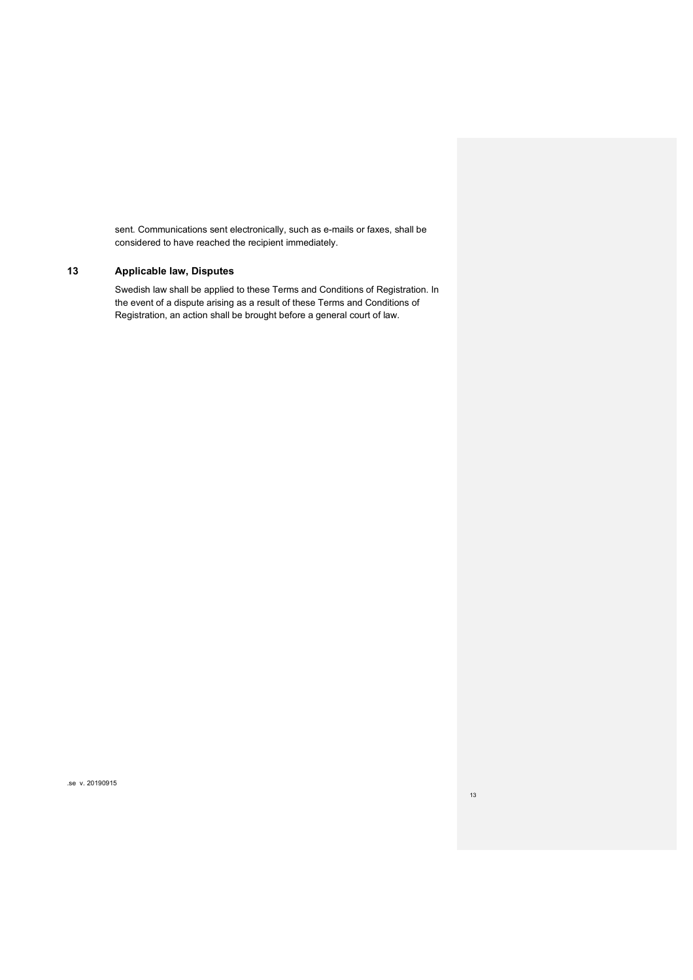sent. Communications sent electronically, such as e-mails or faxes, shall be considered to have reached the recipient immediately.

## **13 Applicable law, Disputes**

Swedish law shall be applied to these Terms and Conditions of Registration. In the event of a dispute arising as a result of these Terms and Conditions of Registration, an action shall be brought before a general court of law.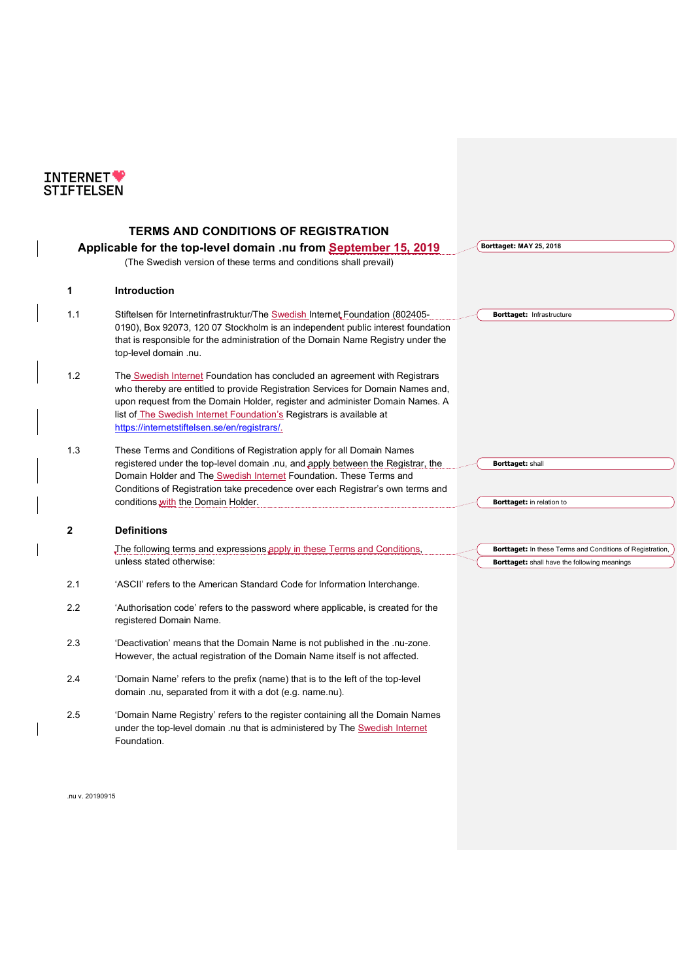

## **TERMS AND CONDITIONS OF REGISTRATION Applicable for the top-level domain .nu from September 15, 2019** (The Swedish version of these terms and conditions shall prevail) **1 Introduction** 1.1 Stiftelsen för Internetinfrastruktur/The Swedish Internet Foundation (802405- 0190), Box 92073, 120 07 Stockholm is an independent public interest foundation that is responsible for the administration of the Domain Name Registry under the top-level domain .nu. 1.2 The Swedish Internet Foundation has concluded an agreement with Registrars who thereby are entitled to provide Registration Services for Domain Names and, upon request from the Domain Holder, register and administer Domain Names. A list of The Swedish Internet Foundation's Registrars is available at https://internetstiftelsen.se/en/registrars/. 1.3 These Terms and Conditions of Registration apply for all Domain Names registered under the top-level domain .nu, and apply between the Registrar, the Domain Holder and The Swedish Internet Foundation. These Terms and Conditions of Registration take precedence over each Registrar's own terms and conditions with the Domain Holder. **2 Definitions** The following terms and expressions apply in these Terms and Conditions unless stated otherwise: 2.1 'ASCII' refers to the American Standard Code for Information Interchange. 2.2 'Authorisation code' refers to the password where applicable, is created for the registered Domain Name. 2.3 'Deactivation' means that the Domain Name is not published in the .nu-zone. However, the actual registration of the Domain Name itself is not affected. 2.4 'Domain Name' refers to the prefix (name) that is to the left of the top-level domain .nu, separated from it with a dot (e.g. name.nu). 2.5 'Domain Name Registry' refers to the register containing all the Domain Names under the top-level domain .nu that is administered by The Swedish Internet Foundation. **Borttaget: MAY 25, 2018 Borttaget:** Infrastructure **Borttaget:** shall **Borttaget:** in relation to **Borttaget:** In these Terms and Conditions of Registration, **Borttaget:** shall have the following meanings

.nu v. 20190915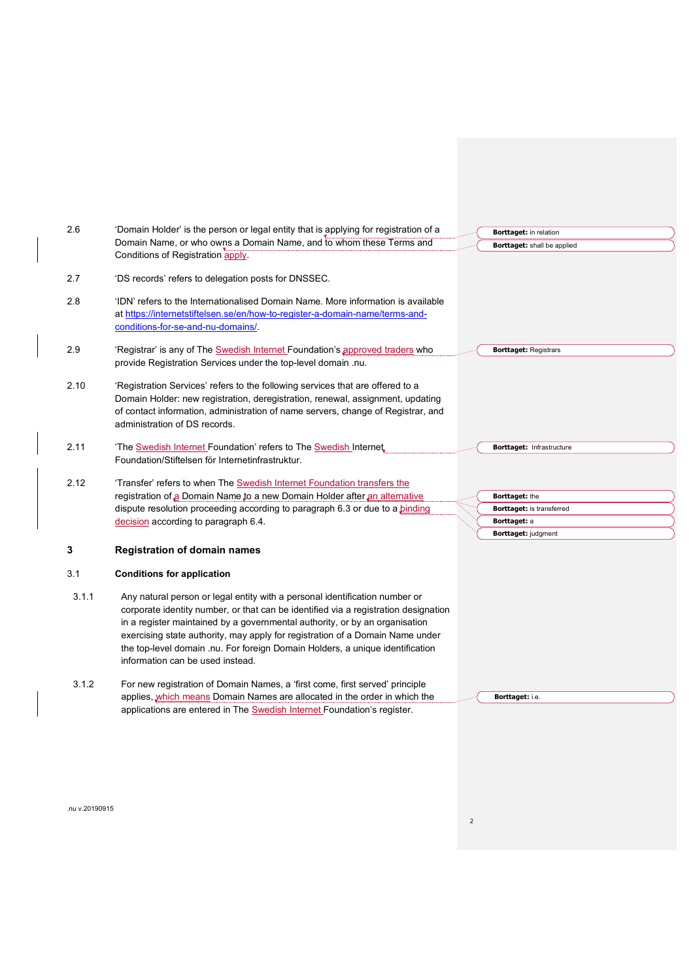| 2.6   | 'Domain Holder' is the person or legal entity that is applying for registration of a |                                                       |
|-------|--------------------------------------------------------------------------------------|-------------------------------------------------------|
|       | Domain Name, or who owns a Domain Name, and to whom these Terms and                  | Borttaget: in relation<br>Borttaget: shall be applied |
|       | Conditions of Registration apply.                                                    |                                                       |
|       |                                                                                      |                                                       |
| 2.7   | 'DS records' refers to delegation posts for DNSSEC.                                  |                                                       |
| 2.8   | 'IDN' refers to the Internationalised Domain Name. More information is available     |                                                       |
|       | at https://internetstiftelsen.se/en/how-to-register-a-domain-name/terms-and-         |                                                       |
|       | conditions-for-se-and-nu-domains/.                                                   |                                                       |
|       |                                                                                      |                                                       |
| 2.9   | 'Registrar' is any of The Swedish Internet Foundation's approved traders who         | <b>Borttaget: Registrars</b>                          |
|       | provide Registration Services under the top-level domain .nu.                        |                                                       |
| 2.10  | 'Registration Services' refers to the following services that are offered to a       |                                                       |
|       | Domain Holder: new registration, deregistration, renewal, assignment, updating       |                                                       |
|       | of contact information, administration of name servers, change of Registrar, and     |                                                       |
|       | administration of DS records.                                                        |                                                       |
| 2.11  | 'The <b>Swedish Internet Foundation' refers to The Swedish Internet</b>              | Borttaget: Infrastructure                             |
|       | Foundation/Stiftelsen för Internetinfrastruktur.                                     |                                                       |
|       |                                                                                      |                                                       |
| 2.12  | 'Transfer' refers to when The Swedish Internet Foundation transfers the              |                                                       |
|       | registration of a Domain Name to a new Domain Holder after an alternative            | Borttaget: the                                        |
|       | dispute resolution proceeding according to paragraph 6.3 or due to a <b>binding</b>  | <b>Borttaget: is transferred</b>                      |
|       | decision according to paragraph 6.4.                                                 | Borttaget: a<br>Borttaget: judgment                   |
|       |                                                                                      |                                                       |
| 3     | <b>Registration of domain names</b>                                                  |                                                       |
| 3.1   | <b>Conditions for application</b>                                                    |                                                       |
| 3.1.1 | Any natural person or legal entity with a personal identification number or          |                                                       |
|       | corporate identity number, or that can be identified via a registration designation  |                                                       |
|       | in a register maintained by a governmental authority, or by an organisation          |                                                       |
|       | exercising state authority, may apply for registration of a Domain Name under        |                                                       |
|       | the top-level domain .nu. For foreign Domain Holders, a unique identification        |                                                       |
|       | information can be used instead.                                                     |                                                       |
| 3.1.2 | For new registration of Domain Names, a 'first come, first served' principle         |                                                       |
|       | applies, which means Domain Names are allocated in the order in which the            | Borttaget: i.e.                                       |
|       | applications are entered in The Swedish Internet Foundation's register.              |                                                       |
|       |                                                                                      |                                                       |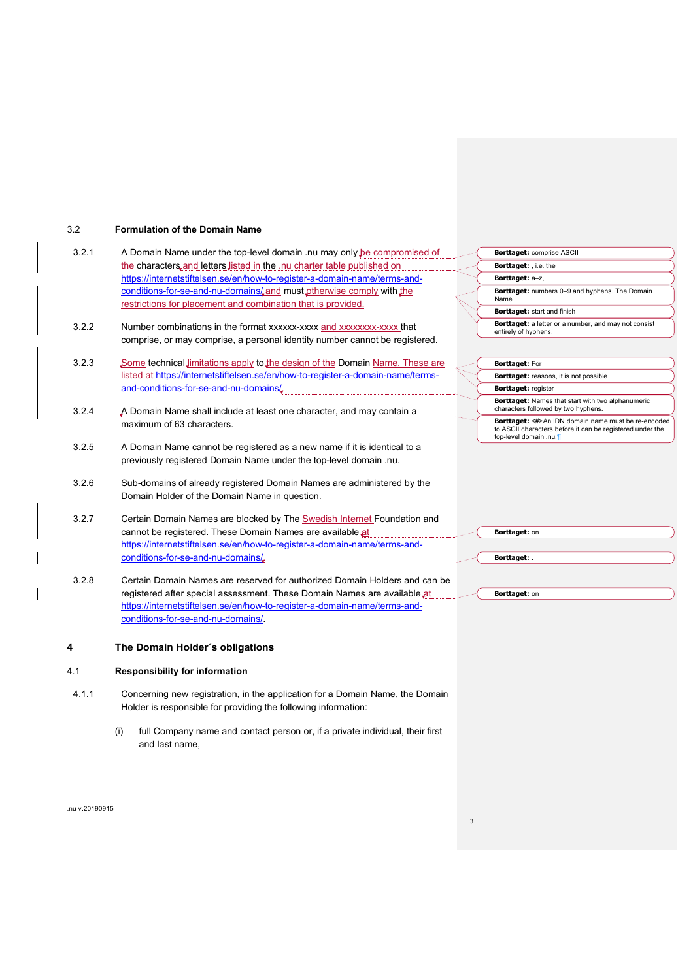## 3.2 **Formulation of the Domain Name**

| 3.2.1 | A Domain Name under the top-level domain .nu may only be compromised of                                                                             | Borttaget: comprise ASCII                                                                |
|-------|-----------------------------------------------------------------------------------------------------------------------------------------------------|------------------------------------------------------------------------------------------|
|       | the characters and letters listed in the .nu charter table published on                                                                             | Borttaget: , i.e. the                                                                    |
|       | https://internetstiftelsen.se/en/how-to-register-a-domain-name/terms-and-                                                                           | Borttaget: a-z,                                                                          |
|       | conditions-for-se-and-nu-domains/and must otherwise comply with the                                                                                 | Borttaget: numbers 0-9 and hyphens. The Domain<br>Name                                   |
|       | restrictions for placement and combination that is provided.                                                                                        | Borttaget: start and finish                                                              |
| 3.2.2 |                                                                                                                                                     | Borttaget: a letter or a number, and may not consist                                     |
|       | Number combinations in the format xxxxxx-xxxx and xxxxxxxx-xxxx that<br>comprise, or may comprise, a personal identity number cannot be registered. | entirely of hyphens.                                                                     |
|       |                                                                                                                                                     |                                                                                          |
| 3.2.3 | Some technical limitations apply to the design of the Domain Name. These are                                                                        | <b>Borttaget: For</b>                                                                    |
|       | listed at https://internetstiftelsen.se/en/how-to-register-a-domain-name/terms-                                                                     | Borttaget: reasons, it is not possible                                                   |
|       | and-conditions-for-se-and-nu-domains/                                                                                                               | Borttaget: register                                                                      |
| 3.2.4 | A Domain Name shall include at least one character, and may contain a                                                                               | Borttaget: Names that start with two alphanumeric<br>characters followed by two hyphens. |
|       | maximum of 63 characters.                                                                                                                           | Borttaget: <#>An IDN domain name must be re-encoded                                      |
|       |                                                                                                                                                     | to ASCII characters before it can be registered under the<br>top-level domain .nu.¶      |
| 3.2.5 | A Domain Name cannot be registered as a new name if it is identical to a                                                                            |                                                                                          |
|       | previously registered Domain Name under the top-level domain .nu.                                                                                   |                                                                                          |
| 3.2.6 |                                                                                                                                                     |                                                                                          |
|       | Sub-domains of already registered Domain Names are administered by the<br>Domain Holder of the Domain Name in question.                             |                                                                                          |
|       |                                                                                                                                                     |                                                                                          |
| 3.2.7 | Certain Domain Names are blocked by The Swedish Internet Foundation and                                                                             |                                                                                          |
|       | cannot be registered. These Domain Names are available at                                                                                           | Borttaget: on                                                                            |
|       | https://internetstiftelsen.se/en/how-to-register-a-domain-name/terms-and-                                                                           |                                                                                          |
|       | conditions-for-se-and-nu-domains/                                                                                                                   | <b>Borttaget:</b>                                                                        |
|       |                                                                                                                                                     |                                                                                          |
| 3.2.8 | Certain Domain Names are reserved for authorized Domain Holders and can be                                                                          |                                                                                          |
|       | registered after special assessment. These Domain Names are available at                                                                            | Borttaget: on                                                                            |
|       | https://internetstiftelsen.se/en/how-to-register-a-domain-name/terms-and-                                                                           |                                                                                          |
|       | conditions-for-se-and-nu-domains/.                                                                                                                  |                                                                                          |
|       |                                                                                                                                                     |                                                                                          |
| 4     | The Domain Holder's obligations                                                                                                                     |                                                                                          |
| 4.1   | <b>Responsibility for information</b>                                                                                                               |                                                                                          |
| 4.1.1 | Concerning new registration, in the application for a Domain Name, the Domain                                                                       |                                                                                          |
|       | Holder is responsible for providing the following information:                                                                                      |                                                                                          |
|       |                                                                                                                                                     |                                                                                          |
|       | full Company name and contact person or, if a private individual, their first<br>(i)                                                                |                                                                                          |
|       | and last name,                                                                                                                                      |                                                                                          |
|       |                                                                                                                                                     |                                                                                          |

.nu v.20190915

 $\overline{\phantom{a}}$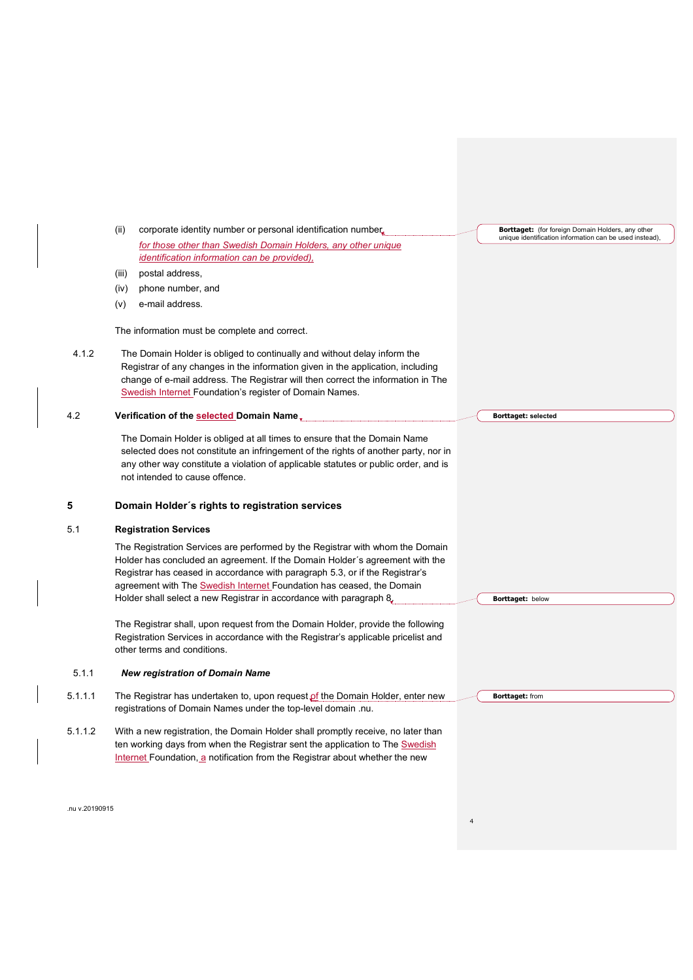|         | (ii)  | corporate identity number or personal identification number                                                                                                                                                                                                                                                                                                                                  | Borttaget: (for foreign Domain Holders, any other       |
|---------|-------|----------------------------------------------------------------------------------------------------------------------------------------------------------------------------------------------------------------------------------------------------------------------------------------------------------------------------------------------------------------------------------------------|---------------------------------------------------------|
|         |       | for those other than Swedish Domain Holders, any other unique                                                                                                                                                                                                                                                                                                                                | unique identification information can be used instead), |
|         |       | identification information can be provided),                                                                                                                                                                                                                                                                                                                                                 |                                                         |
|         | (iii) | postal address,                                                                                                                                                                                                                                                                                                                                                                              |                                                         |
|         | (iv)  | phone number, and                                                                                                                                                                                                                                                                                                                                                                            |                                                         |
|         | (v)   | e-mail address.                                                                                                                                                                                                                                                                                                                                                                              |                                                         |
|         |       | The information must be complete and correct.                                                                                                                                                                                                                                                                                                                                                |                                                         |
| 4.1.2   |       | The Domain Holder is obliged to continually and without delay inform the<br>Registrar of any changes in the information given in the application, including<br>change of e-mail address. The Registrar will then correct the information in The<br><b>Swedish Internet Foundation's register of Domain Names.</b>                                                                            |                                                         |
| 4.2     |       | Verification of the selected Domain Name,                                                                                                                                                                                                                                                                                                                                                    | <b>Borttaget: selected</b>                              |
|         |       | The Domain Holder is obliged at all times to ensure that the Domain Name<br>selected does not constitute an infringement of the rights of another party, nor in<br>any other way constitute a violation of applicable statutes or public order, and is<br>not intended to cause offence.                                                                                                     |                                                         |
| 5       |       | Domain Holder's rights to registration services                                                                                                                                                                                                                                                                                                                                              |                                                         |
| 5.1     |       | <b>Registration Services</b>                                                                                                                                                                                                                                                                                                                                                                 |                                                         |
|         |       | The Registration Services are performed by the Registrar with whom the Domain<br>Holder has concluded an agreement. If the Domain Holder's agreement with the<br>Registrar has ceased in accordance with paragraph 5.3, or if the Registrar's<br>agreement with The Swedish Internet Foundation has ceased, the Domain<br>Holder shall select a new Registrar in accordance with paragraph 8 | <b>Borttaget: below</b>                                 |
|         |       |                                                                                                                                                                                                                                                                                                                                                                                              |                                                         |
|         |       | The Registrar shall, upon request from the Domain Holder, provide the following<br>Registration Services in accordance with the Registrar's applicable pricelist and<br>other terms and conditions.                                                                                                                                                                                          |                                                         |
| 5.1.1   |       | <b>New registration of Domain Name</b>                                                                                                                                                                                                                                                                                                                                                       |                                                         |
| 5.1.1.1 |       | The Registrar has undertaken to, upon request of the Domain Holder, enter new<br>registrations of Domain Names under the top-level domain .nu.                                                                                                                                                                                                                                               | <b>Borttaget:</b> from                                  |
| 5.1.1.2 |       | With a new registration, the Domain Holder shall promptly receive, no later than<br>ten working days from when the Registrar sent the application to The Swedish<br>Internet Foundation, a notification from the Registrar about whether the new                                                                                                                                             |                                                         |
|         |       |                                                                                                                                                                                                                                                                                                                                                                                              |                                                         |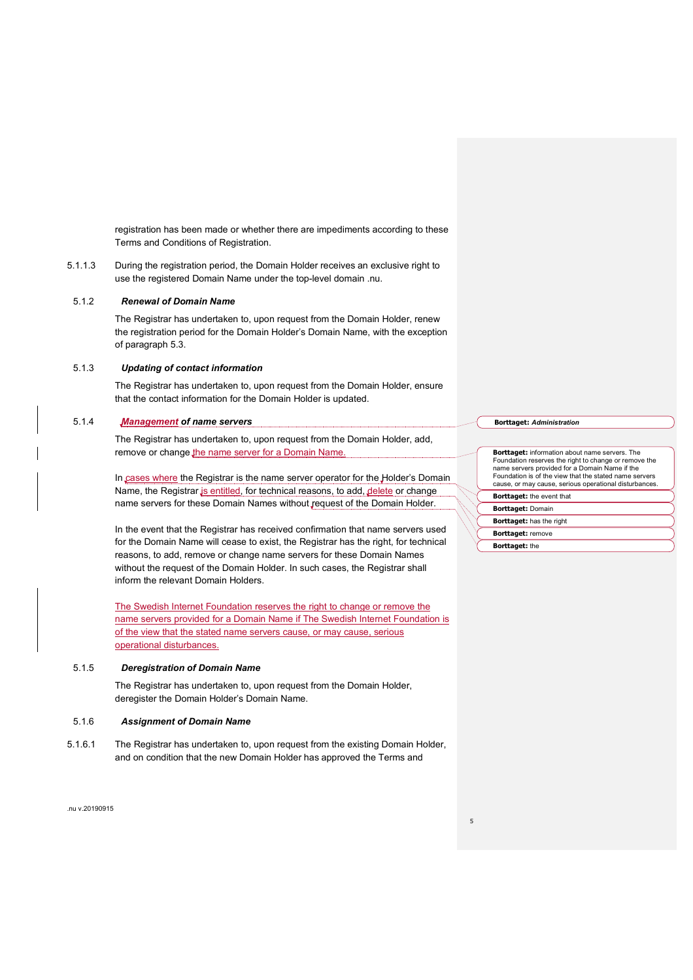registration has been made or whether there are impediments according to these Terms and Conditions of Registration.

5.1.1.3 During the registration period, the Domain Holder receives an exclusive right to use the registered Domain Name under the top-level domain .nu.

## 5.1.2 *Renewal of Domain Name*

The Registrar has undertaken to, upon request from the Domain Holder, renew the registration period for the Domain Holder's Domain Name, with the exception of paragraph 5.3.

## 5.1.3 *Updating of contact information*

The Registrar has undertaken to, upon request from the Domain Holder, ensure that the contact information for the Domain Holder is updated.

## 5.1.4 *Management of name servers*

The Registrar has undertaken to, upon request from the Domain Holder, add, remove or change the name server for a Domain Name.

In cases where the Registrar is the name server operator for the Holder's Domain Name, the Registrar is entitled, for technical reasons, to add, delete or change name servers for these Domain Names without request of the Domain Holder.

In the event that the Registrar has received confirmation that name servers used for the Domain Name will cease to exist, the Registrar has the right, for technical reasons, to add, remove or change name servers for these Domain Names without the request of the Domain Holder. In such cases, the Registrar shall inform the relevant Domain Holders.

The Swedish Internet Foundation reserves the right to change or remove the name servers provided for a Domain Name if The Swedish Internet Foundation is of the view that the stated name servers cause, or may cause, serious operational disturbances.

## 5.1.5 *Deregistration of Domain Name*

The Registrar has undertaken to, upon request from the Domain Holder, deregister the Domain Holder's Domain Name.

### 5.1.6 *Assignment of Domain Name*

5.1.6.1 The Registrar has undertaken to, upon request from the existing Domain Holder, and on condition that the new Domain Holder has approved the Terms and

.nu v.20190915

**Borttaget:** *Administration*

**Borttaget:** information about name servers. The Foundation reserves the right to change or remove the name servers provided for a Domain Name if the Foundation is of the view that the stated name servers cause, or may cause, serious operational disturbances. **Borttaget:** the event that **Borttaget:** Domain **Borttaget:** has the right **Borttaget:** remove **Borttaget:** the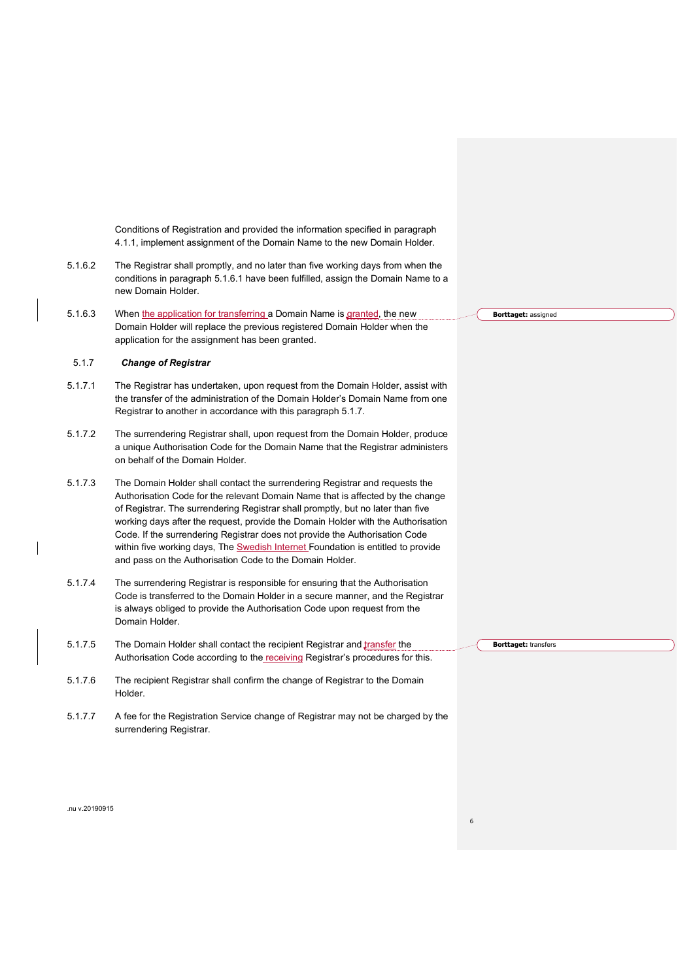Conditions of Registration and provided the information specified in paragraph 4.1.1, implement assignment of the Domain Name to the new Domain Holder.

- 5.1.6.2 The Registrar shall promptly, and no later than five working days from when the conditions in paragraph 5.1.6.1 have been fulfilled, assign the Domain Name to a new Domain Holder.
- 5.1.6.3 When the application for transferring a Domain Name is granted, the new Domain Holder will replace the previous registered Domain Holder when the application for the assignment has been granted.

### 5.1.7 *Change of Registrar*

- 5.1.7.1 The Registrar has undertaken, upon request from the Domain Holder, assist with the transfer of the administration of the Domain Holder's Domain Name from one Registrar to another in accordance with this paragraph 5.1.7.
- 5.1.7.2 The surrendering Registrar shall, upon request from the Domain Holder, produce a unique Authorisation Code for the Domain Name that the Registrar administers on behalf of the Domain Holder.
- 5.1.7.3 The Domain Holder shall contact the surrendering Registrar and requests the Authorisation Code for the relevant Domain Name that is affected by the change of Registrar. The surrendering Registrar shall promptly, but no later than five working days after the request, provide the Domain Holder with the Authorisation Code. If the surrendering Registrar does not provide the Authorisation Code within five working days, The **Swedish Internet Foundation is entitled to provide** and pass on the Authorisation Code to the Domain Holder.
- 5.1.7.4 The surrendering Registrar is responsible for ensuring that the Authorisation Code is transferred to the Domain Holder in a secure manner, and the Registrar is always obliged to provide the Authorisation Code upon request from the Domain Holder.
- 5.1.7.5 The Domain Holder shall contact the recipient Registrar and transfer the Authorisation Code according to the receiving Registrar's procedures for this.
- 5.1.7.6 The recipient Registrar shall confirm the change of Registrar to the Domain Holder.
- 5.1.7.7 A fee for the Registration Service change of Registrar may not be charged by the surrendering Registrar.

**Borttaget:** transfers

**Borttaget:** assigned

6

.nu v.20190915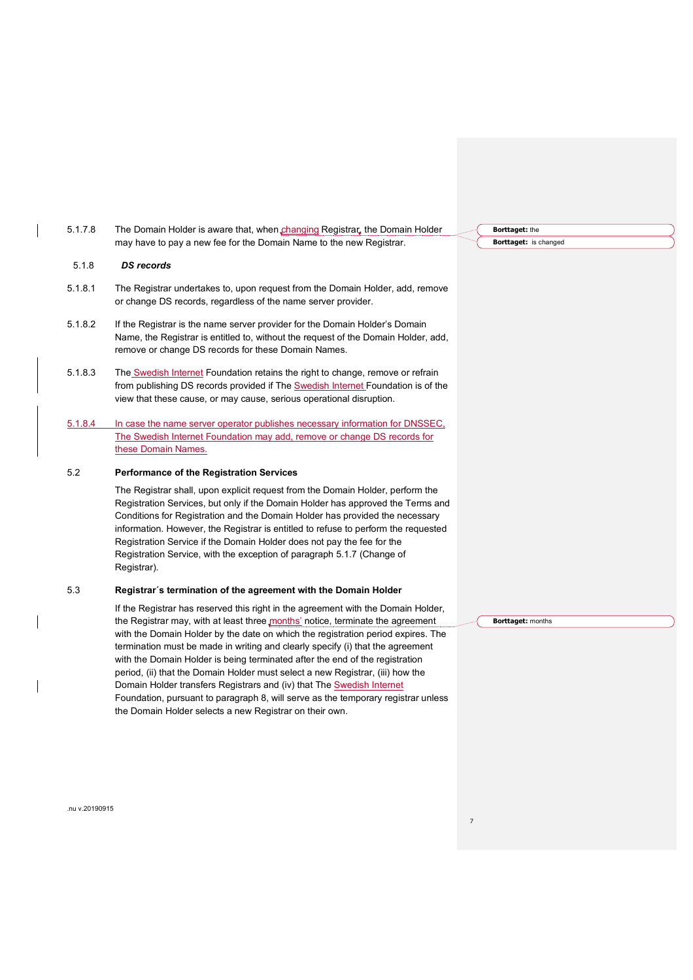| 5.1.7.8 | The Domain Holder is aware that, when changing Registrar, the Domain Holder                                                                                                                                                                                                                                                                                                                                                                                                                                                                                                                 |
|---------|---------------------------------------------------------------------------------------------------------------------------------------------------------------------------------------------------------------------------------------------------------------------------------------------------------------------------------------------------------------------------------------------------------------------------------------------------------------------------------------------------------------------------------------------------------------------------------------------|
|         | may have to pay a new fee for the Domain Name to the new Registrar.                                                                                                                                                                                                                                                                                                                                                                                                                                                                                                                         |
| 5.1.8   | <b>DS</b> records                                                                                                                                                                                                                                                                                                                                                                                                                                                                                                                                                                           |
| 5.1.8.1 | The Registrar undertakes to, upon request from the Domain Holder, add, remove<br>or change DS records, regardless of the name server provider.                                                                                                                                                                                                                                                                                                                                                                                                                                              |
| 5.1.8.2 | If the Registrar is the name server provider for the Domain Holder's Domain<br>Name, the Registrar is entitled to, without the request of the Domain Holder, add,<br>remove or change DS records for these Domain Names.                                                                                                                                                                                                                                                                                                                                                                    |
| 5.1.8.3 | The Swedish Internet Foundation retains the right to change, remove or refrain<br>from publishing DS records provided if The Swedish Internet Foundation is of the<br>view that these cause, or may cause, serious operational disruption.                                                                                                                                                                                                                                                                                                                                                  |
| 5.1.8.4 | In case the name server operator publishes necessary information for DNSSEC.<br>The Swedish Internet Foundation may add, remove or change DS records for<br>these Domain Names.                                                                                                                                                                                                                                                                                                                                                                                                             |
| 5.2     | <b>Performance of the Registration Services</b>                                                                                                                                                                                                                                                                                                                                                                                                                                                                                                                                             |
|         | The Registrar shall, upon explicit request from the Domain Holder, perform the<br>Registration Services, but only if the Domain Holder has approved the Terms and<br>Conditions for Registration and the Domain Holder has provided the necessary<br>information. However, the Registrar is entitled to refuse to perform the requested<br>Registration Service if the Domain Holder does not pay the fee for the<br>Registration Service, with the exception of paragraph 5.1.7 (Change of<br>Registrar).                                                                                  |
| 5.3     | Registrar's termination of the agreement with the Domain Holder                                                                                                                                                                                                                                                                                                                                                                                                                                                                                                                             |
|         | If the Registrar has reserved this right in the agreement with the Domain Holder,<br>the Registrar may, with at least three months' notice, terminate the agreement<br>with the Domain Holder by the date on which the registration period expires. The<br>termination must be made in writing and clearly specify (i) that the agreement<br>with the Domain Holder is being terminated after the end of the registration<br>period, (ii) that the Domain Holder must select a new Registrar, (iii) how the<br>Domain Holder transfers Registrars and (iv) that The <b>Swedish Internet</b> |

 $\overline{\phantom{a}}$ 

 $\overline{\phantom{a}}$ 

 $\overline{\phantom{a}}$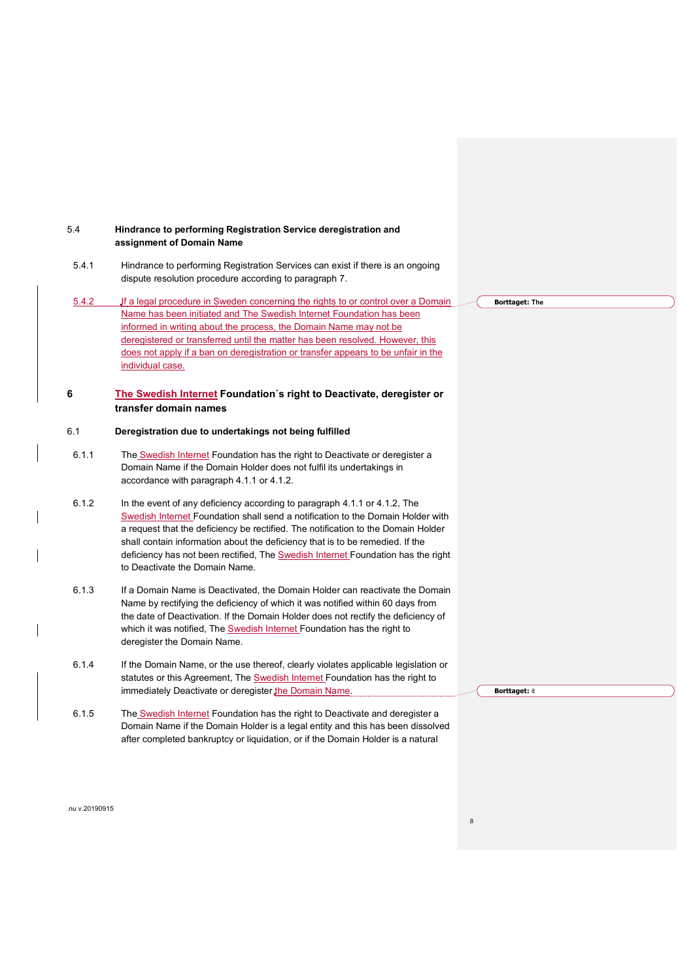## 5.4 **Hindrance to performing Registration Service deregistration and assignment of Domain Name**

- 5.4.1 Hindrance to performing Registration Services can exist if there is an ongoing dispute resolution procedure according to paragraph 7.
- 5.4.2 If a legal procedure in Sweden concerning the rights to or control over a Domain Name has been initiated and The Swedish Internet Foundation has been informed in writing about the process, the Domain Name may not be deregistered or transferred until the matter has been resolved. However, this does not apply if a ban on deregistration or transfer appears to be unfair in the individual case.

## **6 The Swedish Internet Foundation´s right to Deactivate, deregister or transfer domain names**

## 6.1 **Deregistration due to undertakings not being fulfilled**

- 6.1.1 The Swedish Internet Foundation has the right to Deactivate or deregister a Domain Name if the Domain Holder does not fulfil its undertakings in accordance with paragraph 4.1.1 or 4.1.2.
- 6.1.2 In the event of any deficiency according to paragraph 4.1.1 or 4.1.2, The Swedish Internet Foundation shall send a notification to the Domain Holder with a request that the deficiency be rectified. The notification to the Domain Holder shall contain information about the deficiency that is to be remedied. If the deficiency has not been rectified, The Swedish Internet Foundation has the right to Deactivate the Domain Name.
- 6.1.3 If a Domain Name is Deactivated, the Domain Holder can reactivate the Domain Name by rectifying the deficiency of which it was notified within 60 days from the date of Deactivation. If the Domain Holder does not rectify the deficiency of which it was notified, The **Swedish Internet Foundation has the right to** deregister the Domain Name.
- 6.1.4 If the Domain Name, or the use thereof, clearly violates applicable legislation or statutes or this Agreement, The Swedish Internet Foundation has the right to immediately Deactivate or deregister the Domain Name.
- 6.1.5 The Swedish Internet Foundation has the right to Deactivate and deregister a Domain Name if the Domain Holder is a legal entity and this has been dissolved after completed bankruptcy or liquidation, or if the Domain Holder is a natural

**Borttaget: The**

.nu v.20190915

**Borttaget:** it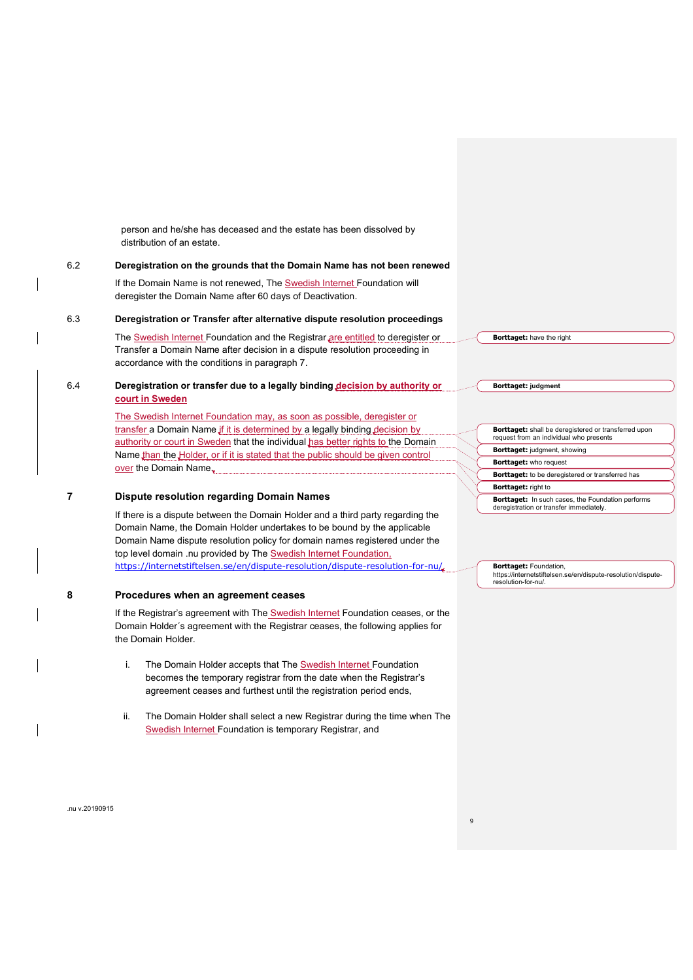person and he/she has deceased and the estate has been dissolved by distribution of an estate.

## 6.2 **Deregistration on the grounds that the Domain Name has not been renewed**

If the Domain Name is not renewed, The Swedish Internet Foundation will deregister the Domain Name after 60 days of Deactivation.

#### 6.3 **Deregistration or Transfer after alternative dispute resolution proceedings**

The Swedish Internet Foundation and the Registrar are entitled to deregister or Transfer a Domain Name after decision in a dispute resolution proceeding in accordance with the conditions in paragraph 7.

## 6.4 **Deregistration or transfer due to a legally binding decision by authority or court in Sweden**

The Swedish Internet Foundation may, as soon as possible, deregister or transfer a Domain Name if it is determined by a legally binding decision by authority or court in Sweden that the individual has better rights to the Domain Name than the Holder, or if it is stated that the public should be given control over the Domain Name.

## **7 Dispute resolution regarding Domain Names**

If there is a dispute between the Domain Holder and a third party regarding the Domain Name, the Domain Holder undertakes to be bound by the applicable Domain Name dispute resolution policy for domain names registered under the top level domain .nu provided by The Swedish Internet Foundation, https://internetstiftelsen.se/en/dispute-resolution/dispute-resolution-for-nu/.

## **8 Procedures when an agreement ceases**

If the Registrar's agreement with The Swedish Internet Foundation ceases, or the Domain Holder´s agreement with the Registrar ceases, the following applies for the Domain Holder.

- i. The Domain Holder accepts that The **Swedish Internet Foundation** becomes the temporary registrar from the date when the Registrar's agreement ceases and furthest until the registration period ends,
- ii. The Domain Holder shall select a new Registrar during the time when The Swedish Internet Foundation is temporary Registrar, and

**Borttaget:** have the right

**Borttaget: judgment**

**Borttaget:** shall be deregistered or transferred upon **Bortlaget:** shall be deregistered of that **Borttaget:** judgment, showing **Borttaget:** who request **Borttaget:** to be deregistered or transferred has

**Borttaget:** right to

**Borttaget:** In such cases, the Foundation performs deregistration or transfer immediately.

**Borttaget: Foundation.** https://internetstiftelsen.se/en/dispute-resolution/disputeresolution-for-nu/.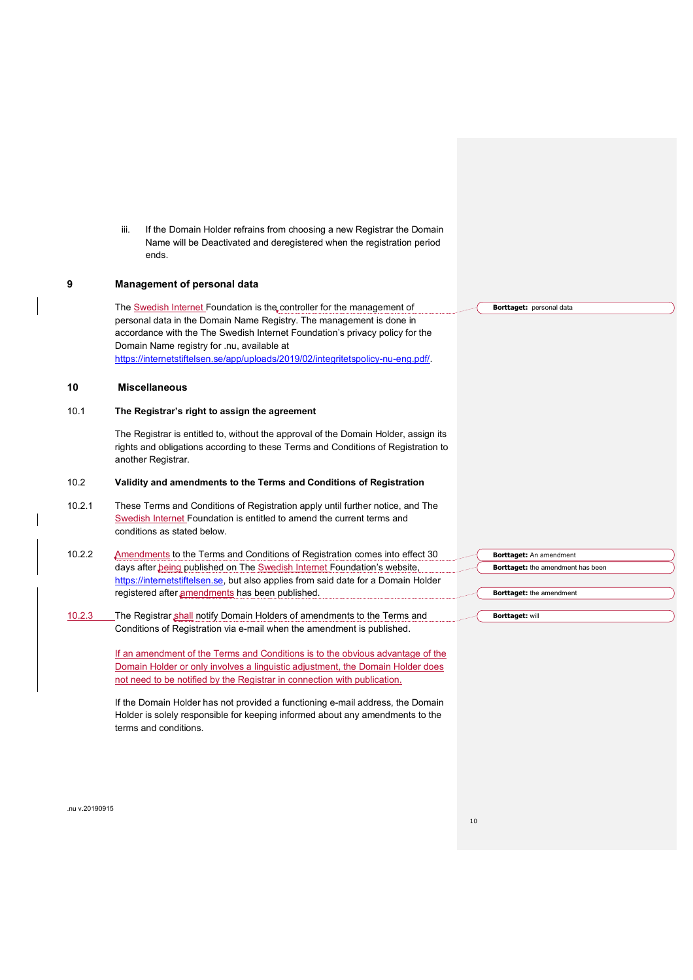|        | If the Domain Holder refrains from choosing a new Registrar the Domain<br>iii.<br>Name will be Deactivated and deregistered when the registration period<br>ends.                                                                                                                                                                                                 |                                   |
|--------|-------------------------------------------------------------------------------------------------------------------------------------------------------------------------------------------------------------------------------------------------------------------------------------------------------------------------------------------------------------------|-----------------------------------|
| 9      | Management of personal data                                                                                                                                                                                                                                                                                                                                       |                                   |
|        | The Swedish Internet Foundation is the controller for the management of<br>personal data in the Domain Name Registry. The management is done in<br>accordance with the The Swedish Internet Foundation's privacy policy for the<br>Domain Name registry for .nu, available at<br>https://internetstiftelsen.se/app/uploads/2019/02/integritetspolicy-nu-eng.pdf/. | Borttaget: personal data          |
| 10     | <b>Miscellaneous</b>                                                                                                                                                                                                                                                                                                                                              |                                   |
| 10.1   | The Registrar's right to assign the agreement                                                                                                                                                                                                                                                                                                                     |                                   |
|        | The Registrar is entitled to, without the approval of the Domain Holder, assign its<br>rights and obligations according to these Terms and Conditions of Registration to<br>another Registrar.                                                                                                                                                                    |                                   |
| 10.2   | Validity and amendments to the Terms and Conditions of Registration                                                                                                                                                                                                                                                                                               |                                   |
| 10.2.1 | These Terms and Conditions of Registration apply until further notice, and The<br>Swedish Internet Foundation is entitled to amend the current terms and                                                                                                                                                                                                          |                                   |
|        | conditions as stated below.                                                                                                                                                                                                                                                                                                                                       |                                   |
| 10.2.2 | Amendments to the Terms and Conditions of Registration comes into effect 30                                                                                                                                                                                                                                                                                       | <b>Borttaget:</b> An amendment    |
|        | days after being published on The Swedish Internet Foundation's website,                                                                                                                                                                                                                                                                                          | Borttaget: the amendment has been |
|        | https://internetstiftelsen.se, but also applies from said date for a Domain Holder<br>registered after amendments has been published.                                                                                                                                                                                                                             | <b>Borttaget:</b> the amendment   |
| 10.2.3 | The Registrar shall notify Domain Holders of amendments to the Terms and                                                                                                                                                                                                                                                                                          | <b>Borttaget: will</b>            |
|        | Conditions of Registration via e-mail when the amendment is published.                                                                                                                                                                                                                                                                                            |                                   |
|        | If an amendment of the Terms and Conditions is to the obvious advantage of the                                                                                                                                                                                                                                                                                    |                                   |
|        | Domain Holder or only involves a linguistic adjustment, the Domain Holder does                                                                                                                                                                                                                                                                                    |                                   |
|        | not need to be notified by the Registrar in connection with publication.                                                                                                                                                                                                                                                                                          |                                   |
|        | If the Domain Holder has not provided a functioning e-mail address, the Domain                                                                                                                                                                                                                                                                                    |                                   |
|        | Holder is solely responsible for keeping informed about any amendments to the                                                                                                                                                                                                                                                                                     |                                   |
|        | terms and conditions.                                                                                                                                                                                                                                                                                                                                             |                                   |
|        |                                                                                                                                                                                                                                                                                                                                                                   |                                   |

.nu v.20190915